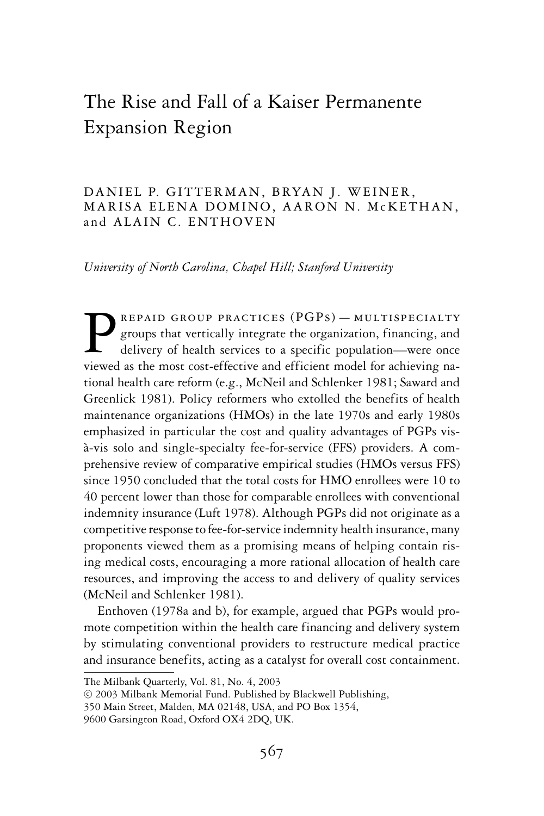# The Rise and Fall of a Kaiser Permanente Expansion Region

#### DANIEL P. GITTERMAN, BRYAN J. WEINER, MARISA ELENA DOMINO, AARON N. McKETHAN, and ALAIN C. ENTHOVEN

*University of North Carolina, Chapel Hill; Stanford University*

**PREPAID GROUP PRACTICES (PGPS)** — MULTISPECIALTY<br>groups that vertically integrate the organization, financing, and<br>delivery of health services to a specific population—were once<br>viewed as the most cost-effective and effic groups that vertically integrate the organization, financing, and delivery of health services to a specific population—were once viewed as the most cost-effective and efficient model for achieving national health care reform (e.g., McNeil and Schlenker 1981; Saward and Greenlick 1981). Policy reformers who extolled the benefits of health maintenance organizations (HMOs) in the late 1970s and early 1980s emphasized in particular the cost and quality advantages of PGPs visa-vis solo and single-specialty fee-for-service (FFS) providers. A com- ` prehensive review of comparative empirical studies (HMOs versus FFS) since 1950 concluded that the total costs for HMO enrollees were 10 to 40 percent lower than those for comparable enrollees with conventional indemnity insurance (Luft 1978). Although PGPs did not originate as a competitive response to fee-for-service indemnity health insurance, many proponents viewed them as a promising means of helping contain rising medical costs, encouraging a more rational allocation of health care resources, and improving the access to and delivery of quality services (McNeil and Schlenker 1981).

Enthoven (1978a and b), for example, argued that PGPs would promote competition within the health care financing and delivery system by stimulating conventional providers to restructure medical practice and insurance benefits, acting as a catalyst for overall cost containment.

The Milbank Quarterly, Vol. 81, No. 4, 2003

c 2003 Milbank Memorial Fund. Published by Blackwell Publishing,

<sup>350</sup> Main Street, Malden, MA 02148, USA, and PO Box 1354,

<sup>9600</sup> Garsington Road, Oxford OX4 2DQ, UK.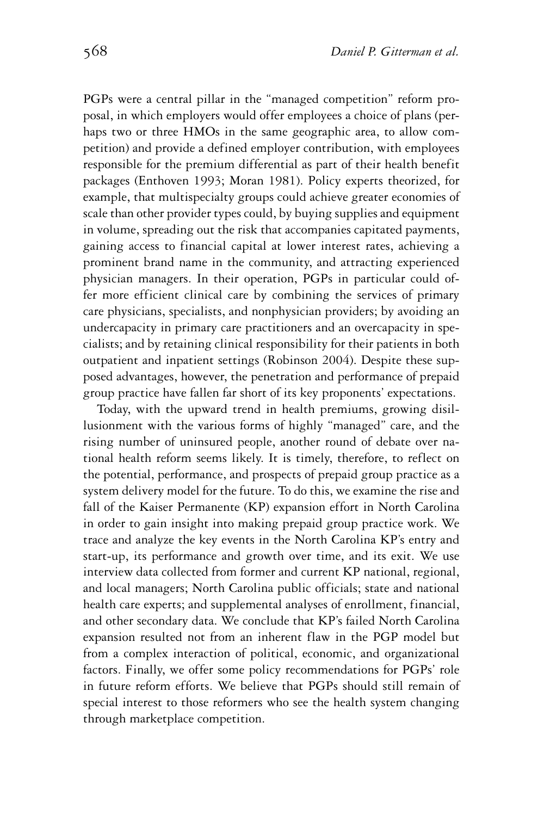PGPs were a central pillar in the "managed competition" reform proposal, in which employers would offer employees a choice of plans (perhaps two or three HMOs in the same geographic area, to allow competition) and provide a defined employer contribution, with employees responsible for the premium differential as part of their health benefit packages (Enthoven 1993; Moran 1981). Policy experts theorized, for example, that multispecialty groups could achieve greater economies of scale than other provider types could, by buying supplies and equipment in volume, spreading out the risk that accompanies capitated payments, gaining access to financial capital at lower interest rates, achieving a prominent brand name in the community, and attracting experienced physician managers. In their operation, PGPs in particular could offer more efficient clinical care by combining the services of primary care physicians, specialists, and nonphysician providers; by avoiding an undercapacity in primary care practitioners and an overcapacity in specialists; and by retaining clinical responsibility for their patients in both outpatient and inpatient settings (Robinson 2004). Despite these supposed advantages, however, the penetration and performance of prepaid group practice have fallen far short of its key proponents' expectations.

Today, with the upward trend in health premiums, growing disillusionment with the various forms of highly "managed" care, and the rising number of uninsured people, another round of debate over national health reform seems likely. It is timely, therefore, to reflect on the potential, performance, and prospects of prepaid group practice as a system delivery model for the future. To do this, we examine the rise and fall of the Kaiser Permanente (KP) expansion effort in North Carolina in order to gain insight into making prepaid group practice work. We trace and analyze the key events in the North Carolina KP's entry and start-up, its performance and growth over time, and its exit. We use interview data collected from former and current KP national, regional, and local managers; North Carolina public officials; state and national health care experts; and supplemental analyses of enrollment, financial, and other secondary data. We conclude that KP's failed North Carolina expansion resulted not from an inherent flaw in the PGP model but from a complex interaction of political, economic, and organizational factors. Finally, we offer some policy recommendations for PGPs' role in future reform efforts. We believe that PGPs should still remain of special interest to those reformers who see the health system changing through marketplace competition.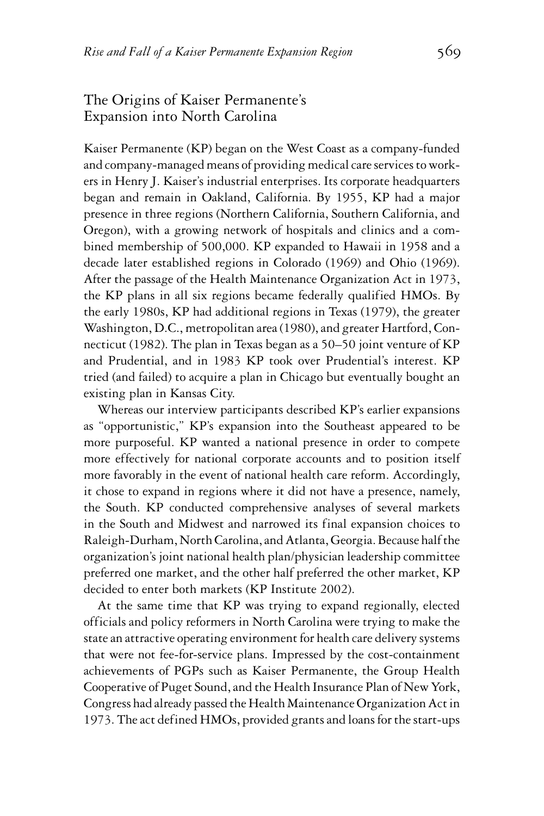#### The Origins of Kaiser Permanente's Expansion into North Carolina

Kaiser Permanente (KP) began on the West Coast as a company-funded and company-managed means of providing medical care services to workers in Henry J. Kaiser's industrial enterprises. Its corporate headquarters began and remain in Oakland, California. By 1955, KP had a major presence in three regions (Northern California, Southern California, and Oregon), with a growing network of hospitals and clinics and a combined membership of 500,000. KP expanded to Hawaii in 1958 and a decade later established regions in Colorado (1969) and Ohio (1969). After the passage of the Health Maintenance Organization Act in 1973, the KP plans in all six regions became federally qualified HMOs. By the early 1980s, KP had additional regions in Texas (1979), the greater Washington, D.C., metropolitan area (1980), and greater Hartford, Connecticut (1982). The plan in Texas began as a 50–50 joint venture of KP and Prudential, and in 1983 KP took over Prudential's interest. KP tried (and failed) to acquire a plan in Chicago but eventually bought an existing plan in Kansas City.

Whereas our interview participants described KP's earlier expansions as "opportunistic," KP's expansion into the Southeast appeared to be more purposeful. KP wanted a national presence in order to compete more effectively for national corporate accounts and to position itself more favorably in the event of national health care reform. Accordingly, it chose to expand in regions where it did not have a presence, namely, the South. KP conducted comprehensive analyses of several markets in the South and Midwest and narrowed its final expansion choices to Raleigh-Durham, North Carolina, and Atlanta, Georgia. Because half the organization's joint national health plan/physician leadership committee preferred one market, and the other half preferred the other market, KP decided to enter both markets (KP Institute 2002).

At the same time that KP was trying to expand regionally, elected officials and policy reformers in North Carolina were trying to make the state an attractive operating environment for health care delivery systems that were not fee-for-service plans. Impressed by the cost-containment achievements of PGPs such as Kaiser Permanente, the Group Health Cooperative of Puget Sound, and the Health Insurance Plan of New York, Congress had already passed the Health Maintenance Organization Act in 1973. The act defined HMOs, provided grants and loans for the start-ups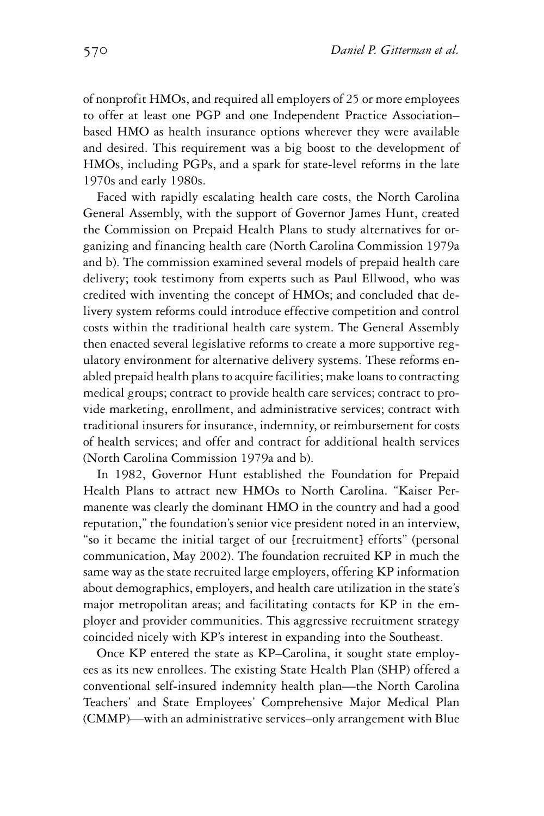of nonprofit HMOs, and required all employers of 25 or more employees to offer at least one PGP and one Independent Practice Association– based HMO as health insurance options wherever they were available and desired. This requirement was a big boost to the development of HMOs, including PGPs, and a spark for state-level reforms in the late 1970s and early 1980s.

Faced with rapidly escalating health care costs, the North Carolina General Assembly, with the support of Governor James Hunt, created the Commission on Prepaid Health Plans to study alternatives for organizing and financing health care (North Carolina Commission 1979a and b). The commission examined several models of prepaid health care delivery; took testimony from experts such as Paul Ellwood, who was credited with inventing the concept of HMOs; and concluded that delivery system reforms could introduce effective competition and control costs within the traditional health care system. The General Assembly then enacted several legislative reforms to create a more supportive regulatory environment for alternative delivery systems. These reforms enabled prepaid health plans to acquire facilities; make loans to contracting medical groups; contract to provide health care services; contract to provide marketing, enrollment, and administrative services; contract with traditional insurers for insurance, indemnity, or reimbursement for costs of health services; and offer and contract for additional health services (North Carolina Commission 1979a and b).

In 1982, Governor Hunt established the Foundation for Prepaid Health Plans to attract new HMOs to North Carolina. "Kaiser Permanente was clearly the dominant HMO in the country and had a good reputation," the foundation's senior vice president noted in an interview, "so it became the initial target of our [recruitment] efforts" (personal communication, May 2002). The foundation recruited KP in much the same way as the state recruited large employers, offering KP information about demographics, employers, and health care utilization in the state's major metropolitan areas; and facilitating contacts for KP in the employer and provider communities. This aggressive recruitment strategy coincided nicely with KP's interest in expanding into the Southeast.

Once KP entered the state as KP–Carolina, it sought state employees as its new enrollees. The existing State Health Plan (SHP) offered a conventional self-insured indemnity health plan—the North Carolina Teachers' and State Employees' Comprehensive Major Medical Plan (CMMP)—with an administrative services–only arrangement with Blue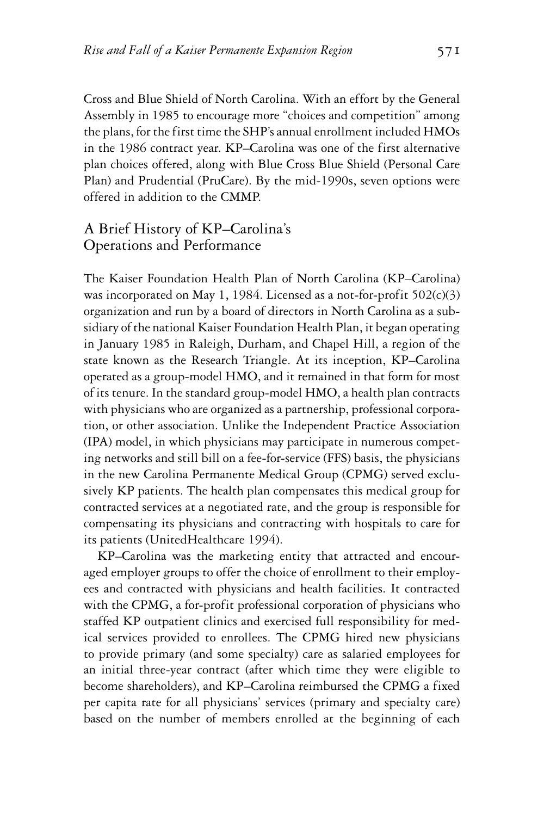Cross and Blue Shield of North Carolina. With an effort by the General Assembly in 1985 to encourage more "choices and competition" among the plans, for the first time the SHP's annual enrollment included HMOs in the 1986 contract year. KP–Carolina was one of the first alternative plan choices offered, along with Blue Cross Blue Shield (Personal Care Plan) and Prudential (PruCare). By the mid-1990s, seven options were offered in addition to the CMMP.

### A Brief History of KP–Carolina's Operations and Performance

The Kaiser Foundation Health Plan of North Carolina (KP–Carolina) was incorporated on May 1, 1984. Licensed as a not-for-profit 502(c)(3) organization and run by a board of directors in North Carolina as a subsidiary of the national Kaiser Foundation Health Plan, it began operating in January 1985 in Raleigh, Durham, and Chapel Hill, a region of the state known as the Research Triangle. At its inception, KP–Carolina operated as a group-model HMO, and it remained in that form for most of its tenure. In the standard group-model HMO, a health plan contracts with physicians who are organized as a partnership, professional corporation, or other association. Unlike the Independent Practice Association (IPA) model, in which physicians may participate in numerous competing networks and still bill on a fee-for-service (FFS) basis, the physicians in the new Carolina Permanente Medical Group (CPMG) served exclusively KP patients. The health plan compensates this medical group for contracted services at a negotiated rate, and the group is responsible for compensating its physicians and contracting with hospitals to care for its patients (UnitedHealthcare 1994).

KP–Carolina was the marketing entity that attracted and encouraged employer groups to offer the choice of enrollment to their employees and contracted with physicians and health facilities. It contracted with the CPMG, a for-profit professional corporation of physicians who staffed KP outpatient clinics and exercised full responsibility for medical services provided to enrollees. The CPMG hired new physicians to provide primary (and some specialty) care as salaried employees for an initial three-year contract (after which time they were eligible to become shareholders), and KP–Carolina reimbursed the CPMG a fixed per capita rate for all physicians' services (primary and specialty care) based on the number of members enrolled at the beginning of each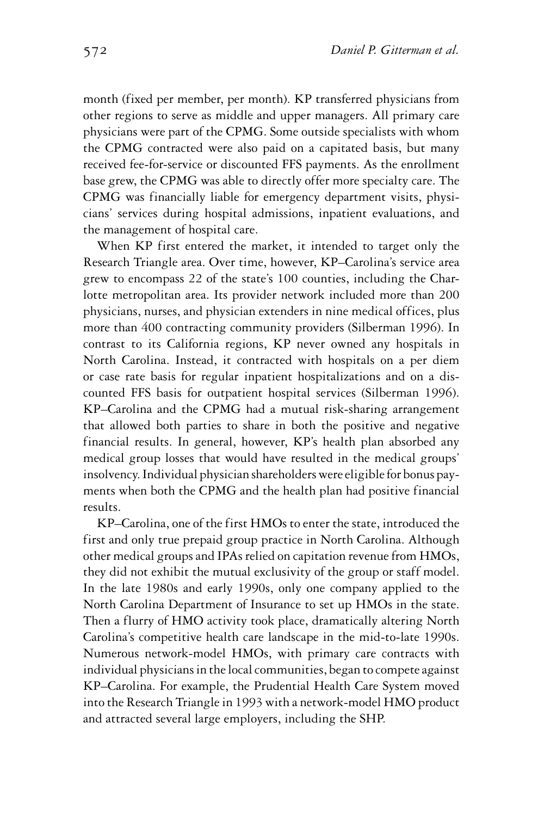month (fixed per member, per month). KP transferred physicians from other regions to serve as middle and upper managers. All primary care physicians were part of the CPMG. Some outside specialists with whom the CPMG contracted were also paid on a capitated basis, but many received fee-for-service or discounted FFS payments. As the enrollment base grew, the CPMG was able to directly offer more specialty care. The CPMG was financially liable for emergency department visits, physicians' services during hospital admissions, inpatient evaluations, and the management of hospital care.

When KP first entered the market, it intended to target only the Research Triangle area. Over time, however, KP–Carolina's service area grew to encompass 22 of the state's 100 counties, including the Charlotte metropolitan area. Its provider network included more than 200 physicians, nurses, and physician extenders in nine medical offices, plus more than 400 contracting community providers (Silberman 1996). In contrast to its California regions, KP never owned any hospitals in North Carolina. Instead, it contracted with hospitals on a per diem or case rate basis for regular inpatient hospitalizations and on a discounted FFS basis for outpatient hospital services (Silberman 1996). KP–Carolina and the CPMG had a mutual risk-sharing arrangement that allowed both parties to share in both the positive and negative financial results. In general, however, KP's health plan absorbed any medical group losses that would have resulted in the medical groups' insolvency. Individual physician shareholders were eligible for bonus payments when both the CPMG and the health plan had positive financial results.

KP–Carolina, one of the first HMOs to enter the state, introduced the first and only true prepaid group practice in North Carolina. Although other medical groups and IPAs relied on capitation revenue from HMOs, they did not exhibit the mutual exclusivity of the group or staff model. In the late 1980s and early 1990s, only one company applied to the North Carolina Department of Insurance to set up HMOs in the state. Then a flurry of HMO activity took place, dramatically altering North Carolina's competitive health care landscape in the mid-to-late 1990s. Numerous network-model HMOs, with primary care contracts with individual physicians in the local communities, began to compete against KP–Carolina. For example, the Prudential Health Care System moved into the Research Triangle in 1993 with a network-model HMO product and attracted several large employers, including the SHP.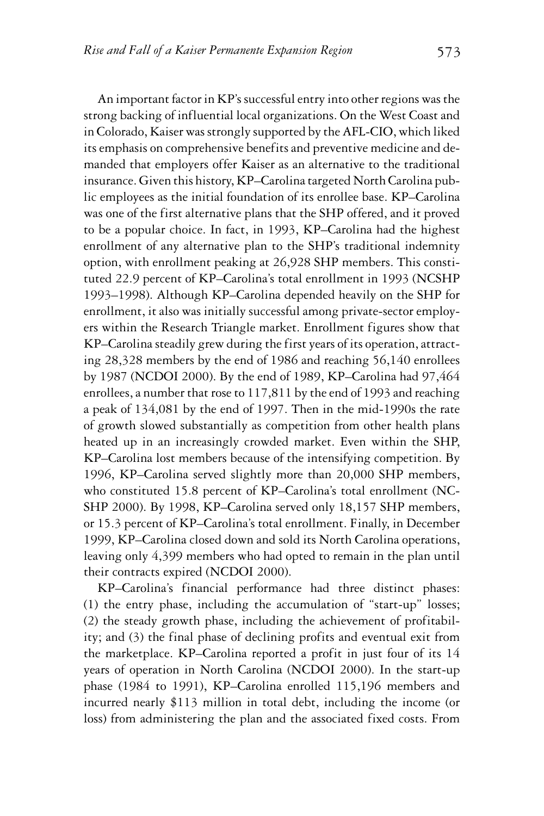An important factor in KP's successful entry into other regions was the strong backing of influential local organizations. On the West Coast and in Colorado, Kaiser was strongly supported by the AFL-CIO, which liked its emphasis on comprehensive benefits and preventive medicine and demanded that employers offer Kaiser as an alternative to the traditional insurance. Given this history, KP–Carolina targeted North Carolina public employees as the initial foundation of its enrollee base. KP–Carolina was one of the first alternative plans that the SHP offered, and it proved to be a popular choice. In fact, in 1993, KP–Carolina had the highest enrollment of any alternative plan to the SHP's traditional indemnity option, with enrollment peaking at 26,928 SHP members. This constituted 22.9 percent of KP–Carolina's total enrollment in 1993 (NCSHP 1993–1998). Although KP–Carolina depended heavily on the SHP for enrollment, it also was initially successful among private-sector employers within the Research Triangle market. Enrollment figures show that KP–Carolina steadily grew during the first years of its operation, attracting 28,328 members by the end of 1986 and reaching 56,140 enrollees by 1987 (NCDOI 2000). By the end of 1989, KP–Carolina had 97,464 enrollees, a number that rose to 117,811 by the end of 1993 and reaching a peak of 134,081 by the end of 1997. Then in the mid-1990s the rate of growth slowed substantially as competition from other health plans heated up in an increasingly crowded market. Even within the SHP, KP–Carolina lost members because of the intensifying competition. By 1996, KP–Carolina served slightly more than 20,000 SHP members, who constituted 15.8 percent of KP–Carolina's total enrollment (NC-SHP 2000). By 1998, KP–Carolina served only 18,157 SHP members, or 15.3 percent of KP–Carolina's total enrollment. Finally, in December 1999, KP–Carolina closed down and sold its North Carolina operations, leaving only 4,399 members who had opted to remain in the plan until their contracts expired (NCDOI 2000).

KP–Carolina's financial performance had three distinct phases: (1) the entry phase, including the accumulation of "start-up" losses; (2) the steady growth phase, including the achievement of profitability; and (3) the final phase of declining profits and eventual exit from the marketplace. KP–Carolina reported a profit in just four of its 14 years of operation in North Carolina (NCDOI 2000). In the start-up phase (1984 to 1991), KP–Carolina enrolled 115,196 members and incurred nearly \$113 million in total debt, including the income (or loss) from administering the plan and the associated fixed costs. From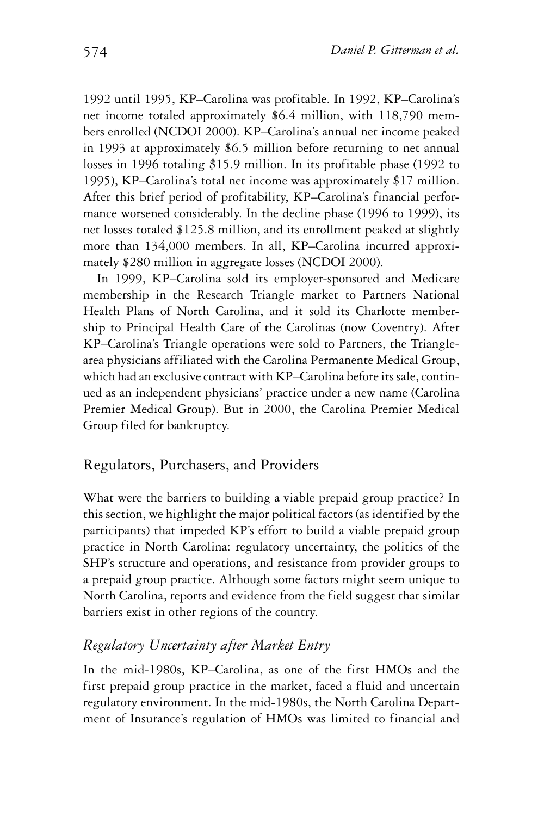1992 until 1995, KP–Carolina was profitable. In 1992, KP–Carolina's net income totaled approximately \$6.4 million, with 118,790 members enrolled (NCDOI 2000). KP–Carolina's annual net income peaked in 1993 at approximately \$6.5 million before returning to net annual losses in 1996 totaling \$15.9 million. In its profitable phase (1992 to 1995), KP–Carolina's total net income was approximately \$17 million. After this brief period of profitability, KP–Carolina's financial performance worsened considerably. In the decline phase (1996 to 1999), its net losses totaled \$125.8 million, and its enrollment peaked at slightly more than 134,000 members. In all, KP–Carolina incurred approximately \$280 million in aggregate losses (NCDOI 2000).

In 1999, KP–Carolina sold its employer-sponsored and Medicare membership in the Research Triangle market to Partners National Health Plans of North Carolina, and it sold its Charlotte membership to Principal Health Care of the Carolinas (now Coventry). After KP–Carolina's Triangle operations were sold to Partners, the Trianglearea physicians affiliated with the Carolina Permanente Medical Group, which had an exclusive contract with KP–Carolina before its sale, continued as an independent physicians' practice under a new name (Carolina Premier Medical Group). But in 2000, the Carolina Premier Medical Group filed for bankruptcy.

#### Regulators, Purchasers, and Providers

What were the barriers to building a viable prepaid group practice? In this section, we highlight the major political factors (as identified by the participants) that impeded KP's effort to build a viable prepaid group practice in North Carolina: regulatory uncertainty, the politics of the SHP's structure and operations, and resistance from provider groups to a prepaid group practice. Although some factors might seem unique to North Carolina, reports and evidence from the field suggest that similar barriers exist in other regions of the country.

#### *Regulatory Uncertainty after Market Entry*

In the mid-1980s, KP–Carolina, as one of the first HMOs and the first prepaid group practice in the market, faced a fluid and uncertain regulatory environment. In the mid-1980s, the North Carolina Department of Insurance's regulation of HMOs was limited to financial and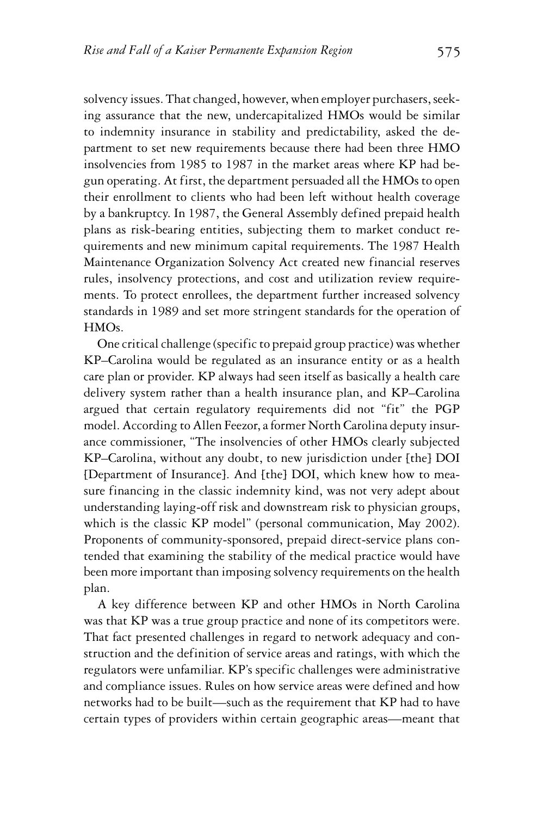solvency issues. That changed, however, when employer purchasers, seeking assurance that the new, undercapitalized HMOs would be similar to indemnity insurance in stability and predictability, asked the department to set new requirements because there had been three HMO insolvencies from 1985 to 1987 in the market areas where KP had begun operating. At first, the department persuaded all the HMOs to open their enrollment to clients who had been left without health coverage by a bankruptcy. In 1987, the General Assembly defined prepaid health plans as risk-bearing entities, subjecting them to market conduct requirements and new minimum capital requirements. The 1987 Health Maintenance Organization Solvency Act created new financial reserves rules, insolvency protections, and cost and utilization review requirements. To protect enrollees, the department further increased solvency standards in 1989 and set more stringent standards for the operation of HMOs.

One critical challenge (specific to prepaid group practice) was whether KP–Carolina would be regulated as an insurance entity or as a health care plan or provider. KP always had seen itself as basically a health care delivery system rather than a health insurance plan, and KP–Carolina argued that certain regulatory requirements did not "fit" the PGP model. According to Allen Feezor, a former North Carolina deputy insurance commissioner, "The insolvencies of other HMOs clearly subjected KP–Carolina, without any doubt, to new jurisdiction under [the] DOI [Department of Insurance]. And [the] DOI, which knew how to measure financing in the classic indemnity kind, was not very adept about understanding laying-off risk and downstream risk to physician groups, which is the classic KP model" (personal communication, May 2002). Proponents of community-sponsored, prepaid direct-service plans contended that examining the stability of the medical practice would have been more important than imposing solvency requirements on the health plan.

A key difference between KP and other HMOs in North Carolina was that KP was a true group practice and none of its competitors were. That fact presented challenges in regard to network adequacy and construction and the definition of service areas and ratings, with which the regulators were unfamiliar. KP's specific challenges were administrative and compliance issues. Rules on how service areas were defined and how networks had to be built—such as the requirement that KP had to have certain types of providers within certain geographic areas—meant that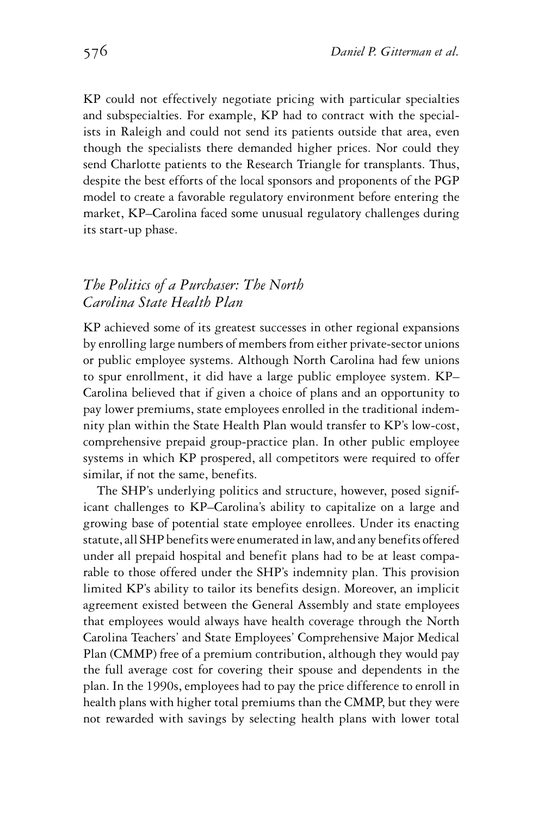KP could not effectively negotiate pricing with particular specialties and subspecialties. For example, KP had to contract with the specialists in Raleigh and could not send its patients outside that area, even though the specialists there demanded higher prices. Nor could they send Charlotte patients to the Research Triangle for transplants. Thus, despite the best efforts of the local sponsors and proponents of the PGP model to create a favorable regulatory environment before entering the market, KP–Carolina faced some unusual regulatory challenges during its start-up phase.

#### *The Politics of a Purchaser: The North Carolina State Health Plan*

KP achieved some of its greatest successes in other regional expansions by enrolling large numbers of members from either private-sector unions or public employee systems. Although North Carolina had few unions to spur enrollment, it did have a large public employee system. KP– Carolina believed that if given a choice of plans and an opportunity to pay lower premiums, state employees enrolled in the traditional indemnity plan within the State Health Plan would transfer to KP's low-cost, comprehensive prepaid group-practice plan. In other public employee systems in which KP prospered, all competitors were required to offer similar, if not the same, benefits.

The SHP's underlying politics and structure, however, posed significant challenges to KP–Carolina's ability to capitalize on a large and growing base of potential state employee enrollees. Under its enacting statute, all SHP benefits were enumerated in law, and any benefits offered under all prepaid hospital and benefit plans had to be at least comparable to those offered under the SHP's indemnity plan. This provision limited KP's ability to tailor its benefits design. Moreover, an implicit agreement existed between the General Assembly and state employees that employees would always have health coverage through the North Carolina Teachers' and State Employees' Comprehensive Major Medical Plan (CMMP) free of a premium contribution, although they would pay the full average cost for covering their spouse and dependents in the plan. In the 1990s, employees had to pay the price difference to enroll in health plans with higher total premiums than the CMMP, but they were not rewarded with savings by selecting health plans with lower total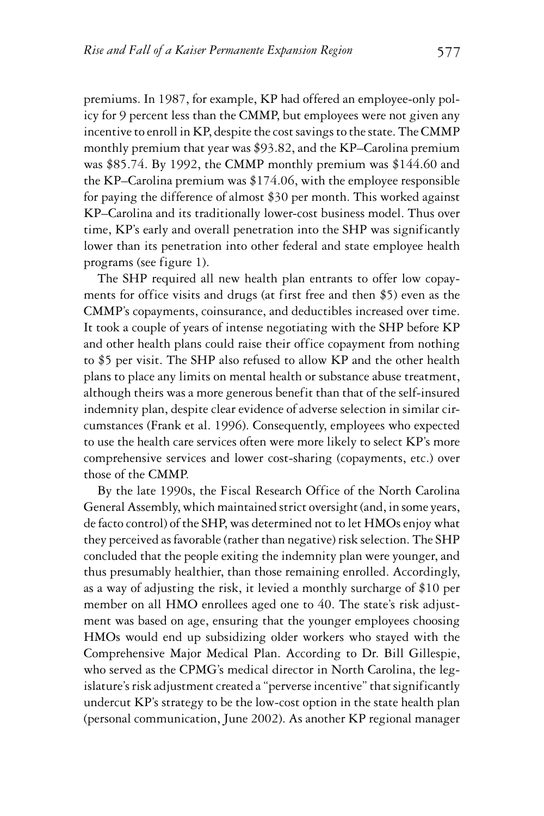premiums. In 1987, for example, KP had offered an employee-only policy for 9 percent less than the CMMP, but employees were not given any incentive to enroll in KP, despite the cost savings to the state. The CMMP monthly premium that year was \$93.82, and the KP–Carolina premium was \$85.74. By 1992, the CMMP monthly premium was \$144.60 and the KP–Carolina premium was \$174.06, with the employee responsible for paying the difference of almost \$30 per month. This worked against KP–Carolina and its traditionally lower-cost business model. Thus over time, KP's early and overall penetration into the SHP was significantly lower than its penetration into other federal and state employee health programs (see figure 1).

The SHP required all new health plan entrants to offer low copayments for office visits and drugs (at first free and then \$5) even as the CMMP's copayments, coinsurance, and deductibles increased over time. It took a couple of years of intense negotiating with the SHP before KP and other health plans could raise their office copayment from nothing to \$5 per visit. The SHP also refused to allow KP and the other health plans to place any limits on mental health or substance abuse treatment, although theirs was a more generous benefit than that of the self-insured indemnity plan, despite clear evidence of adverse selection in similar circumstances (Frank et al. 1996). Consequently, employees who expected to use the health care services often were more likely to select KP's more comprehensive services and lower cost-sharing (copayments, etc.) over those of the CMMP.

By the late 1990s, the Fiscal Research Office of the North Carolina General Assembly, which maintained strict oversight (and, in some years, de facto control) of the SHP, was determined not to let HMOs enjoy what they perceived as favorable (rather than negative) risk selection. The SHP concluded that the people exiting the indemnity plan were younger, and thus presumably healthier, than those remaining enrolled. Accordingly, as a way of adjusting the risk, it levied a monthly surcharge of \$10 per member on all HMO enrollees aged one to 40. The state's risk adjustment was based on age, ensuring that the younger employees choosing HMOs would end up subsidizing older workers who stayed with the Comprehensive Major Medical Plan. According to Dr. Bill Gillespie, who served as the CPMG's medical director in North Carolina, the legislature's risk adjustment created a "perverse incentive" that significantly undercut KP's strategy to be the low-cost option in the state health plan (personal communication, June 2002). As another KP regional manager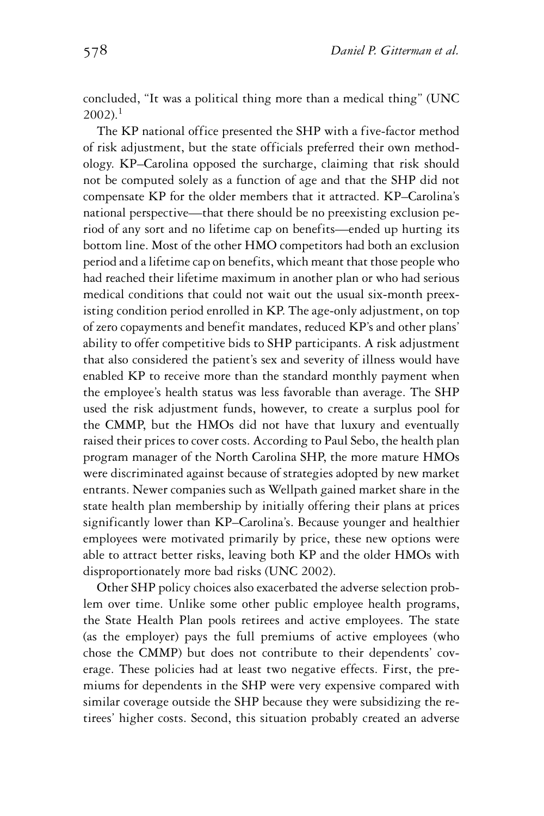concluded, "It was a political thing more than a medical thing" (UNC  $2002$ ).<sup>1</sup>

The KP national office presented the SHP with a five-factor method of risk adjustment, but the state officials preferred their own methodology. KP–Carolina opposed the surcharge, claiming that risk should not be computed solely as a function of age and that the SHP did not compensate KP for the older members that it attracted. KP–Carolina's national perspective—that there should be no preexisting exclusion period of any sort and no lifetime cap on benefits—ended up hurting its bottom line. Most of the other HMO competitors had both an exclusion period and a lifetime cap on benefits, which meant that those people who had reached their lifetime maximum in another plan or who had serious medical conditions that could not wait out the usual six-month preexisting condition period enrolled in KP. The age-only adjustment, on top of zero copayments and benefit mandates, reduced KP's and other plans' ability to offer competitive bids to SHP participants. A risk adjustment that also considered the patient's sex and severity of illness would have enabled KP to receive more than the standard monthly payment when the employee's health status was less favorable than average. The SHP used the risk adjustment funds, however, to create a surplus pool for the CMMP, but the HMOs did not have that luxury and eventually raised their prices to cover costs. According to Paul Sebo, the health plan program manager of the North Carolina SHP, the more mature HMOs were discriminated against because of strategies adopted by new market entrants. Newer companies such as Wellpath gained market share in the state health plan membership by initially offering their plans at prices significantly lower than KP–Carolina's. Because younger and healthier employees were motivated primarily by price, these new options were able to attract better risks, leaving both KP and the older HMOs with disproportionately more bad risks (UNC 2002).

Other SHP policy choices also exacerbated the adverse selection problem over time. Unlike some other public employee health programs, the State Health Plan pools retirees and active employees. The state (as the employer) pays the full premiums of active employees (who chose the CMMP) but does not contribute to their dependents' coverage. These policies had at least two negative effects. First, the premiums for dependents in the SHP were very expensive compared with similar coverage outside the SHP because they were subsidizing the retirees' higher costs. Second, this situation probably created an adverse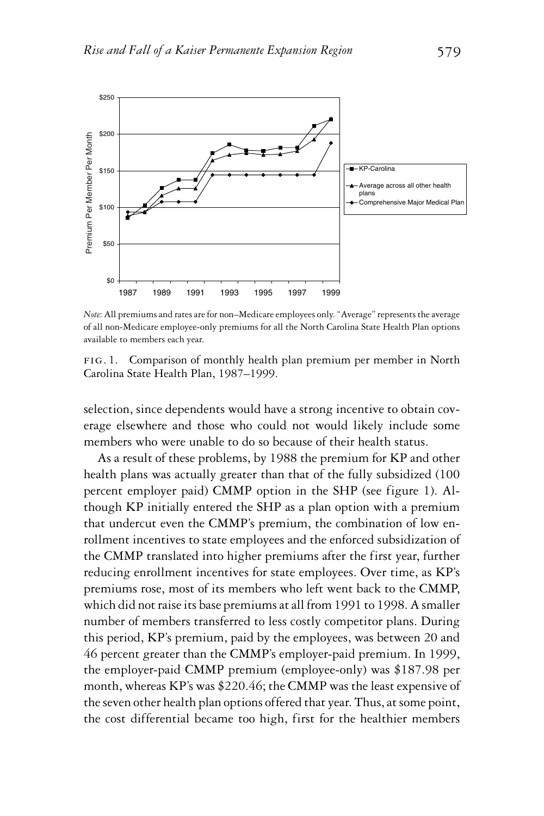

*Note*: All premiums and rates are for non–Medicare employees only."Average"represents the average of all non-Medicare employee-only premiums for all the North Carolina State Health Plan options available to members each year.

FIG. 1. Comparison of monthly health plan premium per member in North Carolina State Health Plan, 1987–1999.

selection, since dependents would have a strong incentive to obtain coverage elsewhere and those who could not would likely include some members who were unable to do so because of their health status.

As a result of these problems, by 1988 the premium for KP and other health plans was actually greater than that of the fully subsidized (100 percent employer paid) CMMP option in the SHP (see figure 1). Although KP initially entered the SHP as a plan option with a premium that undercut even the CMMP's premium, the combination of low enrollment incentives to state employees and the enforced subsidization of the CMMP translated into higher premiums after the first year, further reducing enrollment incentives for state employees. Over time, as KP's premiums rose, most of its members who left went back to the CMMP, which did not raise its base premiums at all from 1991 to 1998. A smaller number of members transferred to less costly competitor plans. During this period, KP's premium, paid by the employees, was between 20 and 46 percent greater than the CMMP's employer-paid premium. In 1999, the employer-paid CMMP premium (employee-only) was \$187.98 per month, whereas KP's was \$220.46; the CMMP was the least expensive of the seven other health plan options offered that year. Thus, at some point, the cost differential became too high, first for the healthier members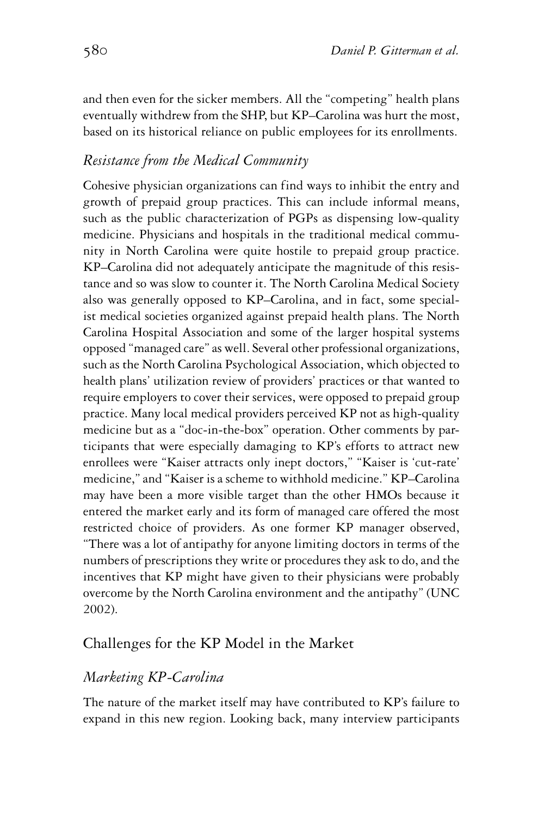and then even for the sicker members. All the "competing" health plans eventually withdrew from the SHP, but KP–Carolina was hurt the most, based on its historical reliance on public employees for its enrollments.

### *Resistance from the Medical Community*

Cohesive physician organizations can find ways to inhibit the entry and growth of prepaid group practices. This can include informal means, such as the public characterization of PGPs as dispensing low-quality medicine. Physicians and hospitals in the traditional medical community in North Carolina were quite hostile to prepaid group practice. KP–Carolina did not adequately anticipate the magnitude of this resistance and so was slow to counter it. The North Carolina Medical Society also was generally opposed to KP–Carolina, and in fact, some specialist medical societies organized against prepaid health plans. The North Carolina Hospital Association and some of the larger hospital systems opposed "managed care"as well. Several other professional organizations, such as the North Carolina Psychological Association, which objected to health plans' utilization review of providers' practices or that wanted to require employers to cover their services, were opposed to prepaid group practice. Many local medical providers perceived KP not as high-quality medicine but as a "doc-in-the-box" operation. Other comments by participants that were especially damaging to KP's efforts to attract new enrollees were "Kaiser attracts only inept doctors," "Kaiser is 'cut-rate' medicine,"and "Kaiser is a scheme to withhold medicine." KP–Carolina may have been a more visible target than the other HMOs because it entered the market early and its form of managed care offered the most restricted choice of providers. As one former KP manager observed, "There was a lot of antipathy for anyone limiting doctors in terms of the numbers of prescriptions they write or procedures they ask to do, and the incentives that KP might have given to their physicians were probably overcome by the North Carolina environment and the antipathy" (UNC 2002).

### Challenges for the KP Model in the Market

#### *Marketing KP-Carolina*

The nature of the market itself may have contributed to KP's failure to expand in this new region. Looking back, many interview participants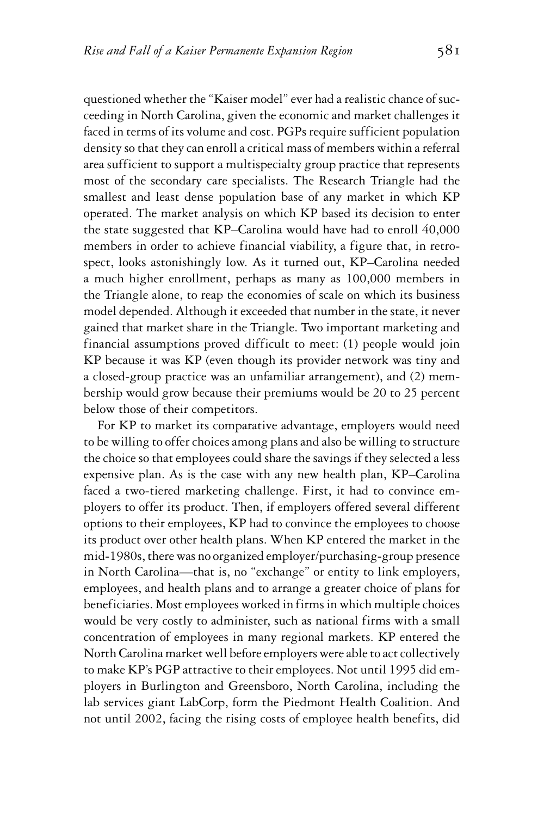questioned whether the"Kaiser model"ever had a realistic chance of succeeding in North Carolina, given the economic and market challenges it faced in terms of its volume and cost. PGPs require sufficient population density so that they can enroll a critical mass of members within a referral area sufficient to support a multispecialty group practice that represents most of the secondary care specialists. The Research Triangle had the smallest and least dense population base of any market in which KP operated. The market analysis on which KP based its decision to enter the state suggested that KP–Carolina would have had to enroll 40,000 members in order to achieve financial viability, a figure that, in retrospect, looks astonishingly low. As it turned out, KP–Carolina needed a much higher enrollment, perhaps as many as 100,000 members in the Triangle alone, to reap the economies of scale on which its business model depended. Although it exceeded that number in the state, it never gained that market share in the Triangle. Two important marketing and financial assumptions proved difficult to meet: (1) people would join KP because it was KP (even though its provider network was tiny and a closed-group practice was an unfamiliar arrangement), and (2) membership would grow because their premiums would be 20 to 25 percent below those of their competitors.

For KP to market its comparative advantage, employers would need to be willing to offer choices among plans and also be willing to structure the choice so that employees could share the savings if they selected a less expensive plan. As is the case with any new health plan, KP–Carolina faced a two-tiered marketing challenge. First, it had to convince employers to offer its product. Then, if employers offered several different options to their employees, KP had to convince the employees to choose its product over other health plans. When KP entered the market in the mid-1980s, there was no organized employer/purchasing-group presence in North Carolina—that is, no "exchange" or entity to link employers, employees, and health plans and to arrange a greater choice of plans for beneficiaries. Most employees worked in firms in which multiple choices would be very costly to administer, such as national firms with a small concentration of employees in many regional markets. KP entered the North Carolina market well before employers were able to act collectively to make KP's PGP attractive to their employees. Not until 1995 did employers in Burlington and Greensboro, North Carolina, including the lab services giant LabCorp, form the Piedmont Health Coalition. And not until 2002, facing the rising costs of employee health benefits, did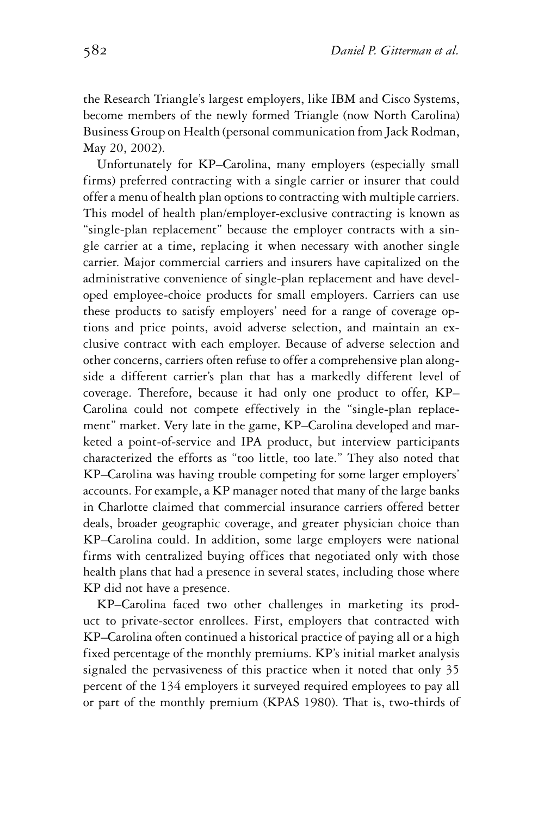the Research Triangle's largest employers, like IBM and Cisco Systems, become members of the newly formed Triangle (now North Carolina) Business Group on Health (personal communication from Jack Rodman, May 20, 2002).

Unfortunately for KP–Carolina, many employers (especially small firms) preferred contracting with a single carrier or insurer that could offer a menu of health plan options to contracting with multiple carriers. This model of health plan/employer-exclusive contracting is known as "single-plan replacement" because the employer contracts with a single carrier at a time, replacing it when necessary with another single carrier. Major commercial carriers and insurers have capitalized on the administrative convenience of single-plan replacement and have developed employee-choice products for small employers. Carriers can use these products to satisfy employers' need for a range of coverage options and price points, avoid adverse selection, and maintain an exclusive contract with each employer. Because of adverse selection and other concerns, carriers often refuse to offer a comprehensive plan alongside a different carrier's plan that has a markedly different level of coverage. Therefore, because it had only one product to offer, KP– Carolina could not compete effectively in the "single-plan replacement" market. Very late in the game, KP–Carolina developed and marketed a point-of-service and IPA product, but interview participants characterized the efforts as "too little, too late." They also noted that KP–Carolina was having trouble competing for some larger employers' accounts. For example, a KP manager noted that many of the large banks in Charlotte claimed that commercial insurance carriers offered better deals, broader geographic coverage, and greater physician choice than KP–Carolina could. In addition, some large employers were national firms with centralized buying offices that negotiated only with those health plans that had a presence in several states, including those where KP did not have a presence.

KP–Carolina faced two other challenges in marketing its product to private-sector enrollees. First, employers that contracted with KP–Carolina often continued a historical practice of paying all or a high fixed percentage of the monthly premiums. KP's initial market analysis signaled the pervasiveness of this practice when it noted that only 35 percent of the 134 employers it surveyed required employees to pay all or part of the monthly premium (KPAS 1980). That is, two-thirds of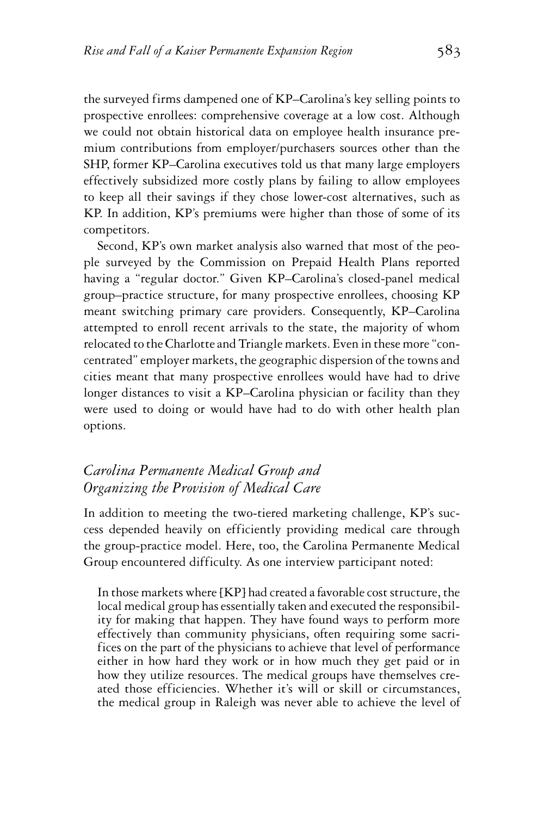the surveyed firms dampened one of KP–Carolina's key selling points to prospective enrollees: comprehensive coverage at a low cost. Although we could not obtain historical data on employee health insurance premium contributions from employer/purchasers sources other than the SHP, former KP–Carolina executives told us that many large employers effectively subsidized more costly plans by failing to allow employees to keep all their savings if they chose lower-cost alternatives, such as KP. In addition, KP's premiums were higher than those of some of its competitors.

Second, KP's own market analysis also warned that most of the people surveyed by the Commission on Prepaid Health Plans reported having a "regular doctor." Given KP–Carolina's closed-panel medical group–practice structure, for many prospective enrollees, choosing KP meant switching primary care providers. Consequently, KP–Carolina attempted to enroll recent arrivals to the state, the majority of whom relocated to the Charlotte and Triangle markets. Even in these more"concentrated"employer markets, the geographic dispersion of the towns and cities meant that many prospective enrollees would have had to drive longer distances to visit a KP–Carolina physician or facility than they were used to doing or would have had to do with other health plan options.

# *Carolina Permanente Medical Group and Organizing the Provision of Medical Care*

In addition to meeting the two-tiered marketing challenge, KP's success depended heavily on efficiently providing medical care through the group-practice model. Here, too, the Carolina Permanente Medical Group encountered difficulty. As one interview participant noted:

In those markets where [KP] had created a favorable cost structure, the local medical group has essentially taken and executed the responsibility for making that happen. They have found ways to perform more effectively than community physicians, often requiring some sacrifices on the part of the physicians to achieve that level of performance either in how hard they work or in how much they get paid or in how they utilize resources. The medical groups have themselves created those efficiencies. Whether it's will or skill or circumstances, the medical group in Raleigh was never able to achieve the level of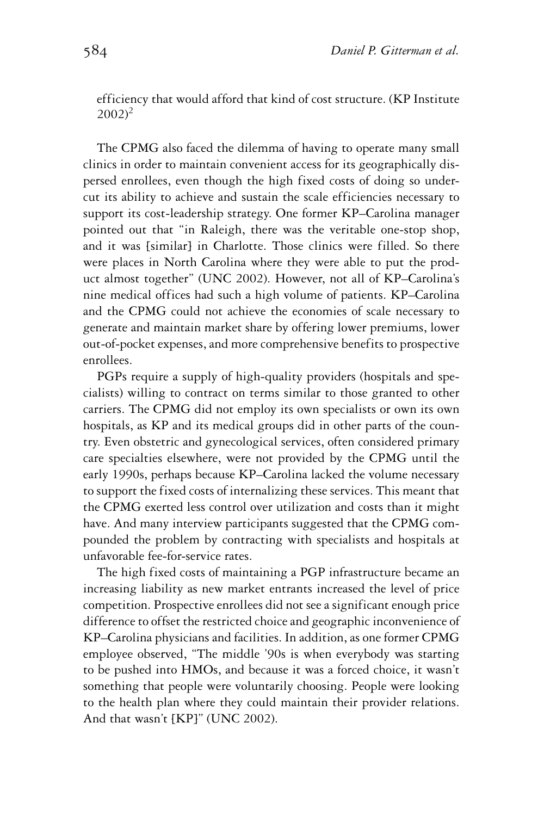efficiency that would afford that kind of cost structure. (KP Institute  $2002$ <sup>2</sup>

The CPMG also faced the dilemma of having to operate many small clinics in order to maintain convenient access for its geographically dispersed enrollees, even though the high fixed costs of doing so undercut its ability to achieve and sustain the scale efficiencies necessary to support its cost-leadership strategy. One former KP–Carolina manager pointed out that "in Raleigh, there was the veritable one-stop shop, and it was [similar] in Charlotte. Those clinics were filled. So there were places in North Carolina where they were able to put the product almost together" (UNC 2002). However, not all of KP–Carolina's nine medical offices had such a high volume of patients. KP–Carolina and the CPMG could not achieve the economies of scale necessary to generate and maintain market share by offering lower premiums, lower out-of-pocket expenses, and more comprehensive benefits to prospective enrollees.

PGPs require a supply of high-quality providers (hospitals and specialists) willing to contract on terms similar to those granted to other carriers. The CPMG did not employ its own specialists or own its own hospitals, as KP and its medical groups did in other parts of the country. Even obstetric and gynecological services, often considered primary care specialties elsewhere, were not provided by the CPMG until the early 1990s, perhaps because KP–Carolina lacked the volume necessary to support the fixed costs of internalizing these services. This meant that the CPMG exerted less control over utilization and costs than it might have. And many interview participants suggested that the CPMG compounded the problem by contracting with specialists and hospitals at unfavorable fee-for-service rates.

The high fixed costs of maintaining a PGP infrastructure became an increasing liability as new market entrants increased the level of price competition. Prospective enrollees did not see a significant enough price difference to offset the restricted choice and geographic inconvenience of KP–Carolina physicians and facilities. In addition, as one former CPMG employee observed, "The middle '90s is when everybody was starting to be pushed into HMOs, and because it was a forced choice, it wasn't something that people were voluntarily choosing. People were looking to the health plan where they could maintain their provider relations. And that wasn't [KP]" (UNC 2002).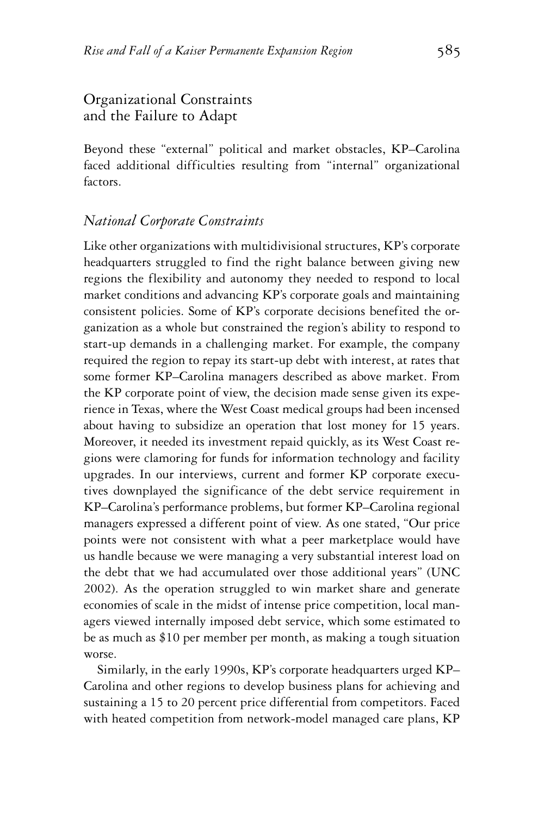#### Organizational Constraints and the Failure to Adapt

Beyond these "external" political and market obstacles, KP–Carolina faced additional difficulties resulting from "internal" organizational factors.

#### *National Corporate Constraints*

Like other organizations with multidivisional structures, KP's corporate headquarters struggled to find the right balance between giving new regions the flexibility and autonomy they needed to respond to local market conditions and advancing KP's corporate goals and maintaining consistent policies. Some of KP's corporate decisions benefited the organization as a whole but constrained the region's ability to respond to start-up demands in a challenging market. For example, the company required the region to repay its start-up debt with interest, at rates that some former KP–Carolina managers described as above market. From the KP corporate point of view, the decision made sense given its experience in Texas, where the West Coast medical groups had been incensed about having to subsidize an operation that lost money for 15 years. Moreover, it needed its investment repaid quickly, as its West Coast regions were clamoring for funds for information technology and facility upgrades. In our interviews, current and former KP corporate executives downplayed the significance of the debt service requirement in KP–Carolina's performance problems, but former KP–Carolina regional managers expressed a different point of view. As one stated, "Our price points were not consistent with what a peer marketplace would have us handle because we were managing a very substantial interest load on the debt that we had accumulated over those additional years" (UNC 2002). As the operation struggled to win market share and generate economies of scale in the midst of intense price competition, local managers viewed internally imposed debt service, which some estimated to be as much as \$10 per member per month, as making a tough situation worse.

Similarly, in the early 1990s, KP's corporate headquarters urged KP– Carolina and other regions to develop business plans for achieving and sustaining a 15 to 20 percent price differential from competitors. Faced with heated competition from network-model managed care plans, KP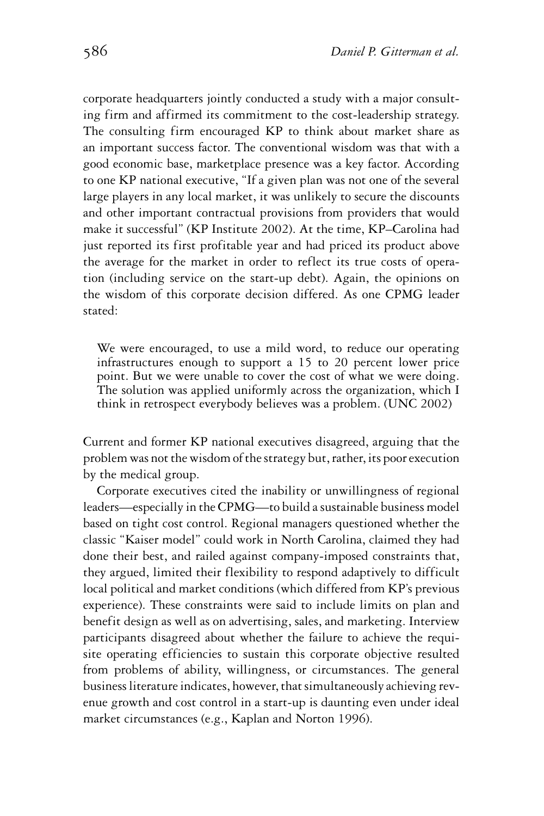corporate headquarters jointly conducted a study with a major consulting firm and affirmed its commitment to the cost-leadership strategy. The consulting firm encouraged KP to think about market share as an important success factor. The conventional wisdom was that with a good economic base, marketplace presence was a key factor. According to one KP national executive, "If a given plan was not one of the several large players in any local market, it was unlikely to secure the discounts and other important contractual provisions from providers that would make it successful" (KP Institute 2002). At the time, KP–Carolina had just reported its first profitable year and had priced its product above the average for the market in order to reflect its true costs of operation (including service on the start-up debt). Again, the opinions on the wisdom of this corporate decision differed. As one CPMG leader stated:

We were encouraged, to use a mild word, to reduce our operating infrastructures enough to support a 15 to 20 percent lower price point. But we were unable to cover the cost of what we were doing. The solution was applied uniformly across the organization, which I think in retrospect everybody believes was a problem. (UNC 2002)

Current and former KP national executives disagreed, arguing that the problem was not the wisdom of the strategy but, rather, its poor execution by the medical group.

Corporate executives cited the inability or unwillingness of regional leaders—especially in the CPMG—to build a sustainable business model based on tight cost control. Regional managers questioned whether the classic "Kaiser model" could work in North Carolina, claimed they had done their best, and railed against company-imposed constraints that, they argued, limited their flexibility to respond adaptively to difficult local political and market conditions (which differed from KP's previous experience). These constraints were said to include limits on plan and benefit design as well as on advertising, sales, and marketing. Interview participants disagreed about whether the failure to achieve the requisite operating efficiencies to sustain this corporate objective resulted from problems of ability, willingness, or circumstances. The general business literature indicates, however, that simultaneously achieving revenue growth and cost control in a start-up is daunting even under ideal market circumstances (e.g., Kaplan and Norton 1996).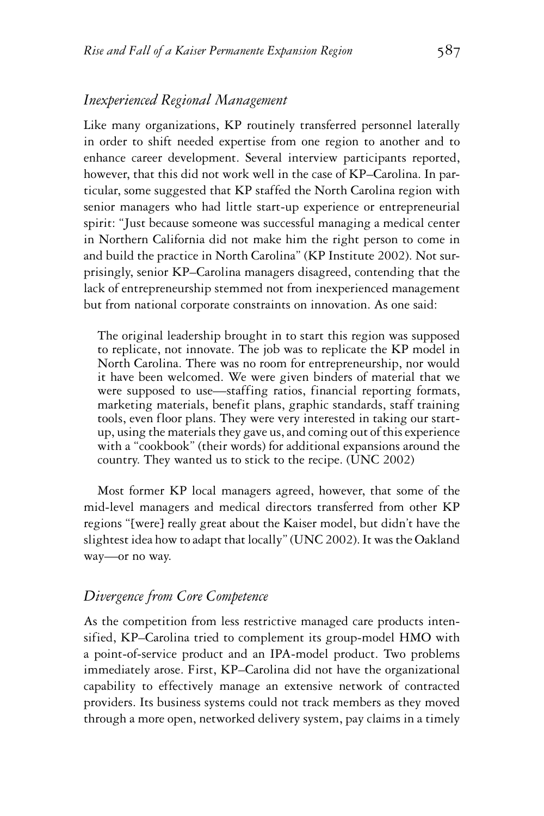#### *Inexperienced Regional Management*

Like many organizations, KP routinely transferred personnel laterally in order to shift needed expertise from one region to another and to enhance career development. Several interview participants reported, however, that this did not work well in the case of KP–Carolina. In particular, some suggested that KP staffed the North Carolina region with senior managers who had little start-up experience or entrepreneurial spirit: "Just because someone was successful managing a medical center in Northern California did not make him the right person to come in and build the practice in North Carolina" (KP Institute 2002). Not surprisingly, senior KP–Carolina managers disagreed, contending that the lack of entrepreneurship stemmed not from inexperienced management but from national corporate constraints on innovation. As one said:

The original leadership brought in to start this region was supposed to replicate, not innovate. The job was to replicate the KP model in North Carolina. There was no room for entrepreneurship, nor would it have been welcomed. We were given binders of material that we were supposed to use—staffing ratios, financial reporting formats, marketing materials, benefit plans, graphic standards, staff training tools, even floor plans. They were very interested in taking our startup, using the materials they gave us, and coming out of this experience with a "cookbook" (their words) for additional expansions around the country. They wanted us to stick to the recipe. (UNC 2002)

Most former KP local managers agreed, however, that some of the mid-level managers and medical directors transferred from other KP regions "[were] really great about the Kaiser model, but didn't have the slightest idea how to adapt that locally"(UNC 2002). It was the Oakland way—or no way.

#### *Divergence from Core Competence*

As the competition from less restrictive managed care products intensified, KP–Carolina tried to complement its group-model HMO with a point-of-service product and an IPA-model product. Two problems immediately arose. First, KP–Carolina did not have the organizational capability to effectively manage an extensive network of contracted providers. Its business systems could not track members as they moved through a more open, networked delivery system, pay claims in a timely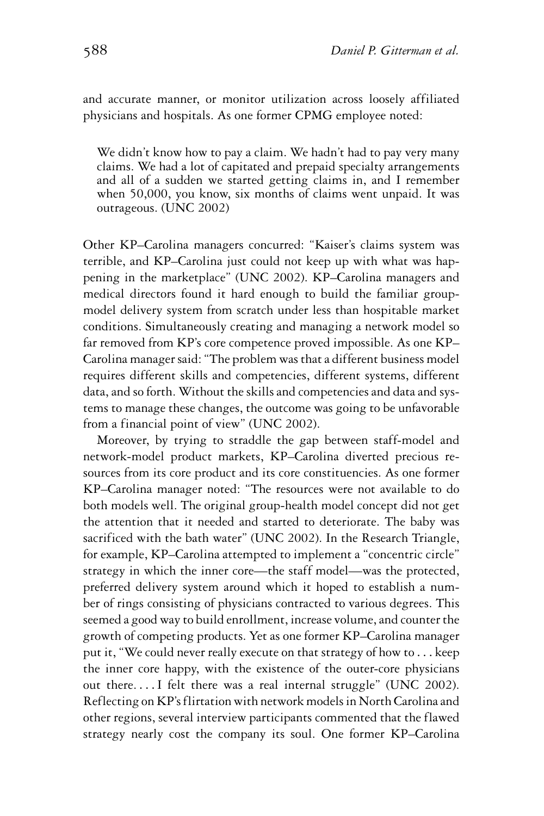and accurate manner, or monitor utilization across loosely affiliated physicians and hospitals. As one former CPMG employee noted:

We didn't know how to pay a claim. We hadn't had to pay very many claims. We had a lot of capitated and prepaid specialty arrangements and all of a sudden we started getting claims in, and I remember when 50,000, you know, six months of claims went unpaid. It was outrageous. (UNC 2002)

Other KP–Carolina managers concurred: "Kaiser's claims system was terrible, and KP–Carolina just could not keep up with what was happening in the marketplace" (UNC 2002). KP–Carolina managers and medical directors found it hard enough to build the familiar groupmodel delivery system from scratch under less than hospitable market conditions. Simultaneously creating and managing a network model so far removed from KP's core competence proved impossible. As one KP– Carolina manager said:"The problem was that a different business model requires different skills and competencies, different systems, different data, and so forth. Without the skills and competencies and data and systems to manage these changes, the outcome was going to be unfavorable from a financial point of view" (UNC 2002).

Moreover, by trying to straddle the gap between staff-model and network-model product markets, KP–Carolina diverted precious resources from its core product and its core constituencies. As one former KP–Carolina manager noted: "The resources were not available to do both models well. The original group-health model concept did not get the attention that it needed and started to deteriorate. The baby was sacrificed with the bath water" (UNC 2002). In the Research Triangle, for example, KP–Carolina attempted to implement a "concentric circle" strategy in which the inner core—the staff model—was the protected, preferred delivery system around which it hoped to establish a number of rings consisting of physicians contracted to various degrees. This seemed a good way to build enrollment, increase volume, and counter the growth of competing products. Yet as one former KP–Carolina manager put it, "We could never really execute on that strategy of how to  $\dots$  keep the inner core happy, with the existence of the outer-core physicians out there. ... I felt there was a real internal struggle" (UNC 2002). Reflecting on KP's flirtation with network models in North Carolina and other regions, several interview participants commented that the flawed strategy nearly cost the company its soul. One former KP–Carolina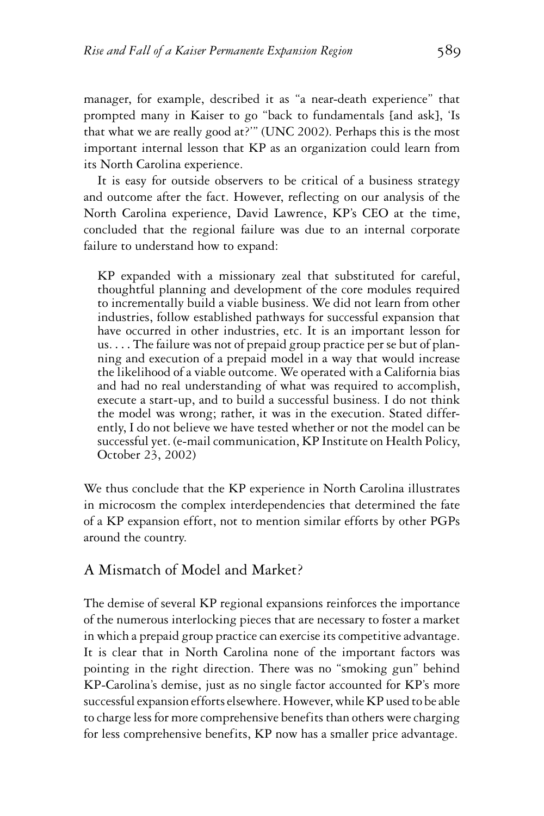manager, for example, described it as "a near-death experience" that prompted many in Kaiser to go "back to fundamentals [and ask], 'Is that what we are really good at?'" (UNC 2002). Perhaps this is the most important internal lesson that KP as an organization could learn from its North Carolina experience.

It is easy for outside observers to be critical of a business strategy and outcome after the fact. However, reflecting on our analysis of the North Carolina experience, David Lawrence, KP's CEO at the time, concluded that the regional failure was due to an internal corporate failure to understand how to expand:

KP expanded with a missionary zeal that substituted for careful, thoughtful planning and development of the core modules required to incrementally build a viable business. We did not learn from other industries, follow established pathways for successful expansion that have occurred in other industries, etc. It is an important lesson for us. ... The failure was not of prepaid group practice per se but of planning and execution of a prepaid model in a way that would increase the likelihood of a viable outcome. We operated with a California bias and had no real understanding of what was required to accomplish, execute a start-up, and to build a successful business. I do not think the model was wrong; rather, it was in the execution. Stated differently, I do not believe we have tested whether or not the model can be successful yet. (e-mail communication, KP Institute on Health Policy, October 23, 2002)

We thus conclude that the KP experience in North Carolina illustrates in microcosm the complex interdependencies that determined the fate of a KP expansion effort, not to mention similar efforts by other PGPs around the country.

#### A Mismatch of Model and Market?

The demise of several KP regional expansions reinforces the importance of the numerous interlocking pieces that are necessary to foster a market in which a prepaid group practice can exercise its competitive advantage. It is clear that in North Carolina none of the important factors was pointing in the right direction. There was no "smoking gun" behind KP-Carolina's demise, just as no single factor accounted for KP's more successful expansion efforts elsewhere. However, while KP used to be able to charge less for more comprehensive benefits than others were charging for less comprehensive benefits, KP now has a smaller price advantage.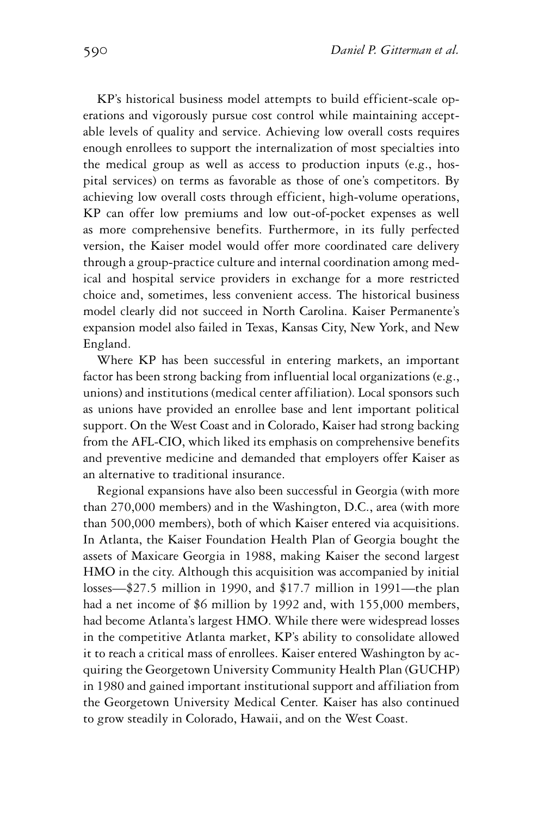KP's historical business model attempts to build efficient-scale operations and vigorously pursue cost control while maintaining acceptable levels of quality and service. Achieving low overall costs requires enough enrollees to support the internalization of most specialties into the medical group as well as access to production inputs (e.g., hospital services) on terms as favorable as those of one's competitors. By achieving low overall costs through efficient, high-volume operations, KP can offer low premiums and low out-of-pocket expenses as well as more comprehensive benefits. Furthermore, in its fully perfected version, the Kaiser model would offer more coordinated care delivery through a group-practice culture and internal coordination among medical and hospital service providers in exchange for a more restricted choice and, sometimes, less convenient access. The historical business model clearly did not succeed in North Carolina. Kaiser Permanente's expansion model also failed in Texas, Kansas City, New York, and New England.

Where KP has been successful in entering markets, an important factor has been strong backing from influential local organizations (e.g., unions) and institutions (medical center affiliation). Local sponsors such as unions have provided an enrollee base and lent important political support. On the West Coast and in Colorado, Kaiser had strong backing from the AFL-CIO, which liked its emphasis on comprehensive benefits and preventive medicine and demanded that employers offer Kaiser as an alternative to traditional insurance.

Regional expansions have also been successful in Georgia (with more than 270,000 members) and in the Washington, D.C., area (with more than 500,000 members), both of which Kaiser entered via acquisitions. In Atlanta, the Kaiser Foundation Health Plan of Georgia bought the assets of Maxicare Georgia in 1988, making Kaiser the second largest HMO in the city. Although this acquisition was accompanied by initial losses—\$27.5 million in 1990, and \$17.7 million in 1991—the plan had a net income of \$6 million by 1992 and, with 155,000 members, had become Atlanta's largest HMO. While there were widespread losses in the competitive Atlanta market, KP's ability to consolidate allowed it to reach a critical mass of enrollees. Kaiser entered Washington by acquiring the Georgetown University Community Health Plan (GUCHP) in 1980 and gained important institutional support and affiliation from the Georgetown University Medical Center. Kaiser has also continued to grow steadily in Colorado, Hawaii, and on the West Coast.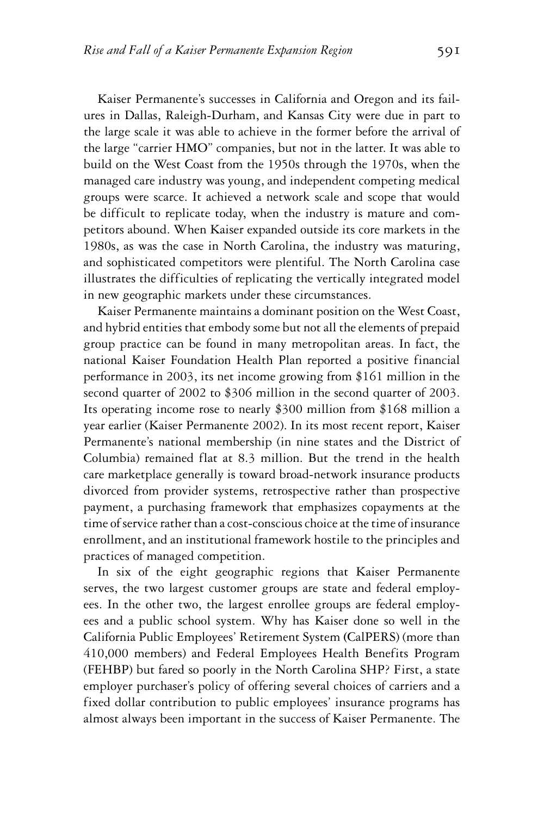Kaiser Permanente's successes in California and Oregon and its failures in Dallas, Raleigh-Durham, and Kansas City were due in part to the large scale it was able to achieve in the former before the arrival of the large "carrier HMO" companies, but not in the latter. It was able to build on the West Coast from the 1950s through the 1970s, when the managed care industry was young, and independent competing medical groups were scarce. It achieved a network scale and scope that would be difficult to replicate today, when the industry is mature and competitors abound. When Kaiser expanded outside its core markets in the 1980s, as was the case in North Carolina, the industry was maturing, and sophisticated competitors were plentiful. The North Carolina case illustrates the difficulties of replicating the vertically integrated model in new geographic markets under these circumstances.

Kaiser Permanente maintains a dominant position on the West Coast, and hybrid entities that embody some but not all the elements of prepaid group practice can be found in many metropolitan areas. In fact, the national Kaiser Foundation Health Plan reported a positive financial performance in 2003, its net income growing from \$161 million in the second quarter of 2002 to \$306 million in the second quarter of 2003. Its operating income rose to nearly \$300 million from \$168 million a year earlier (Kaiser Permanente 2002). In its most recent report, Kaiser Permanente's national membership (in nine states and the District of Columbia) remained flat at 8.3 million. But the trend in the health care marketplace generally is toward broad-network insurance products divorced from provider systems, retrospective rather than prospective payment, a purchasing framework that emphasizes copayments at the time of service rather than a cost-conscious choice at the time of insurance enrollment, and an institutional framework hostile to the principles and practices of managed competition.

In six of the eight geographic regions that Kaiser Permanente serves, the two largest customer groups are state and federal employees. In the other two, the largest enrollee groups are federal employees and a public school system. Why has Kaiser done so well in the California Public Employees' Retirement System **(**CalPERS) (more than 410,000 members) and Federal Employees Health Benefits Program (FEHBP) but fared so poorly in the North Carolina SHP? First, a state employer purchaser's policy of offering several choices of carriers and a fixed dollar contribution to public employees' insurance programs has almost always been important in the success of Kaiser Permanente. The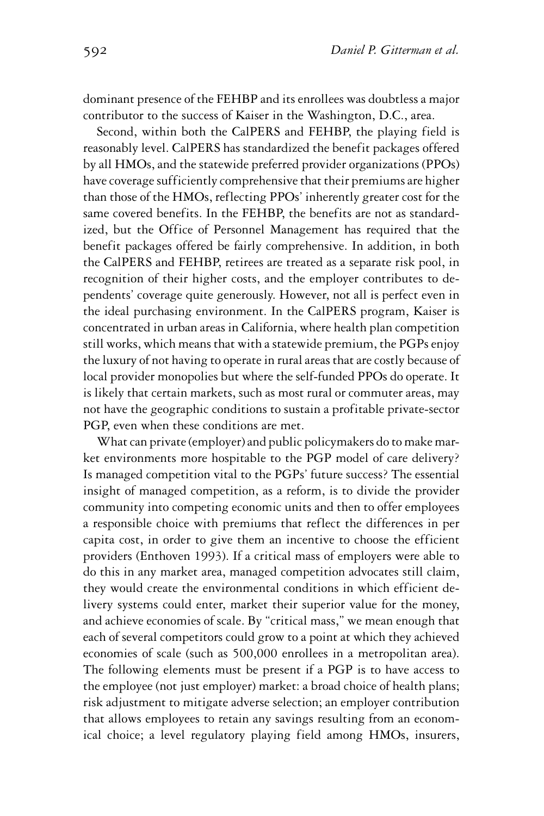dominant presence of the FEHBP and its enrollees was doubtless a major contributor to the success of Kaiser in the Washington, D.C., area.

Second, within both the CalPERS and FEHBP, the playing field is reasonably level. CalPERS has standardized the benefit packages offered by all HMOs, and the statewide preferred provider organizations (PPOs) have coverage sufficiently comprehensive that their premiums are higher than those of the HMOs, reflecting PPOs' inherently greater cost for the same covered benefits. In the FEHBP, the benefits are not as standardized, but the Office of Personnel Management has required that the benefit packages offered be fairly comprehensive. In addition, in both the CalPERS and FEHBP, retirees are treated as a separate risk pool, in recognition of their higher costs, and the employer contributes to dependents' coverage quite generously. However, not all is perfect even in the ideal purchasing environment. In the CalPERS program, Kaiser is concentrated in urban areas in California, where health plan competition still works, which means that with a statewide premium, the PGPs enjoy the luxury of not having to operate in rural areas that are costly because of local provider monopolies but where the self-funded PPOs do operate. It is likely that certain markets, such as most rural or commuter areas, may not have the geographic conditions to sustain a profitable private-sector PGP, even when these conditions are met.

What can private (employer) and public policymakers do to make market environments more hospitable to the PGP model of care delivery? Is managed competition vital to the PGPs' future success? The essential insight of managed competition, as a reform, is to divide the provider community into competing economic units and then to offer employees a responsible choice with premiums that reflect the differences in per capita cost, in order to give them an incentive to choose the efficient providers (Enthoven 1993). If a critical mass of employers were able to do this in any market area, managed competition advocates still claim, they would create the environmental conditions in which efficient delivery systems could enter, market their superior value for the money, and achieve economies of scale. By "critical mass," we mean enough that each of several competitors could grow to a point at which they achieved economies of scale (such as 500,000 enrollees in a metropolitan area). The following elements must be present if a PGP is to have access to the employee (not just employer) market: a broad choice of health plans; risk adjustment to mitigate adverse selection; an employer contribution that allows employees to retain any savings resulting from an economical choice; a level regulatory playing field among HMOs, insurers,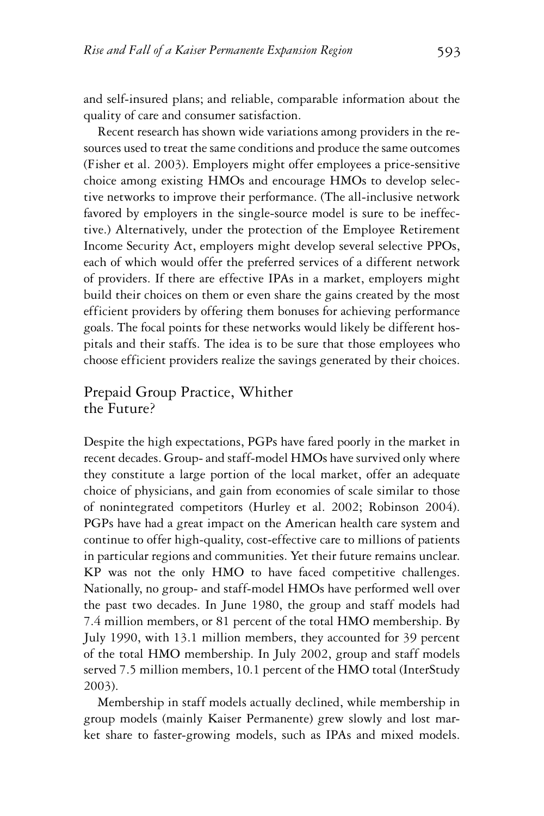and self-insured plans; and reliable, comparable information about the quality of care and consumer satisfaction.

Recent research has shown wide variations among providers in the resources used to treat the same conditions and produce the same outcomes (Fisher et al. 2003). Employers might offer employees a price-sensitive choice among existing HMOs and encourage HMOs to develop selective networks to improve their performance. (The all-inclusive network favored by employers in the single-source model is sure to be ineffective.) Alternatively, under the protection of the Employee Retirement Income Security Act, employers might develop several selective PPOs, each of which would offer the preferred services of a different network of providers. If there are effective IPAs in a market, employers might build their choices on them or even share the gains created by the most efficient providers by offering them bonuses for achieving performance goals. The focal points for these networks would likely be different hospitals and their staffs. The idea is to be sure that those employees who choose efficient providers realize the savings generated by their choices.

#### Prepaid Group Practice, Whither the Future?

Despite the high expectations, PGPs have fared poorly in the market in recent decades. Group- and staff-model HMOs have survived only where they constitute a large portion of the local market, offer an adequate choice of physicians, and gain from economies of scale similar to those of nonintegrated competitors (Hurley et al. 2002; Robinson 2004). PGPs have had a great impact on the American health care system and continue to offer high-quality, cost-effective care to millions of patients in particular regions and communities. Yet their future remains unclear. KP was not the only HMO to have faced competitive challenges. Nationally, no group- and staff-model HMOs have performed well over the past two decades. In June 1980, the group and staff models had 7.4 million members, or 81 percent of the total HMO membership. By July 1990, with 13.1 million members, they accounted for 39 percent of the total HMO membership. In July 2002, group and staff models served 7.5 million members, 10.1 percent of the HMO total (InterStudy 2003).

Membership in staff models actually declined, while membership in group models (mainly Kaiser Permanente) grew slowly and lost market share to faster-growing models, such as IPAs and mixed models.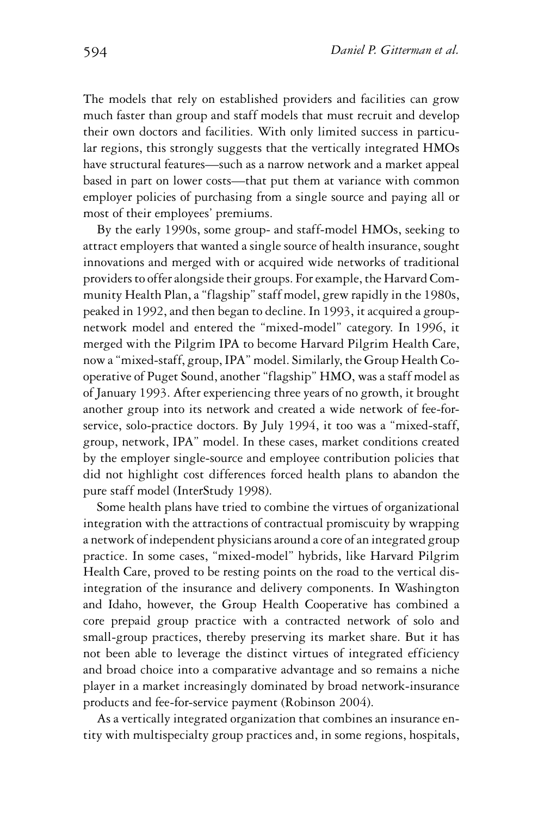The models that rely on established providers and facilities can grow much faster than group and staff models that must recruit and develop their own doctors and facilities. With only limited success in particular regions, this strongly suggests that the vertically integrated HMOs have structural features—such as a narrow network and a market appeal based in part on lower costs—that put them at variance with common employer policies of purchasing from a single source and paying all or most of their employees' premiums.

By the early 1990s, some group- and staff-model HMOs, seeking to attract employers that wanted a single source of health insurance, sought innovations and merged with or acquired wide networks of traditional providers to offer alongside their groups. For example, the Harvard Community Health Plan, a "flagship" staff model, grew rapidly in the 1980s, peaked in 1992, and then began to decline. In 1993, it acquired a groupnetwork model and entered the "mixed-model" category. In 1996, it merged with the Pilgrim IPA to become Harvard Pilgrim Health Care, now a"mixed-staff, group, IPA" model. Similarly, the Group Health Cooperative of Puget Sound, another "flagship" HMO, was a staff model as of January 1993. After experiencing three years of no growth, it brought another group into its network and created a wide network of fee-forservice, solo-practice doctors. By July 1994, it too was a "mixed-staff, group, network, IPA" model. In these cases, market conditions created by the employer single-source and employee contribution policies that did not highlight cost differences forced health plans to abandon the pure staff model (InterStudy 1998).

Some health plans have tried to combine the virtues of organizational integration with the attractions of contractual promiscuity by wrapping a network of independent physicians around a core of an integrated group practice. In some cases, "mixed-model" hybrids, like Harvard Pilgrim Health Care, proved to be resting points on the road to the vertical disintegration of the insurance and delivery components. In Washington and Idaho, however, the Group Health Cooperative has combined a core prepaid group practice with a contracted network of solo and small-group practices, thereby preserving its market share. But it has not been able to leverage the distinct virtues of integrated efficiency and broad choice into a comparative advantage and so remains a niche player in a market increasingly dominated by broad network-insurance products and fee-for-service payment (Robinson 2004).

As a vertically integrated organization that combines an insurance entity with multispecialty group practices and, in some regions, hospitals,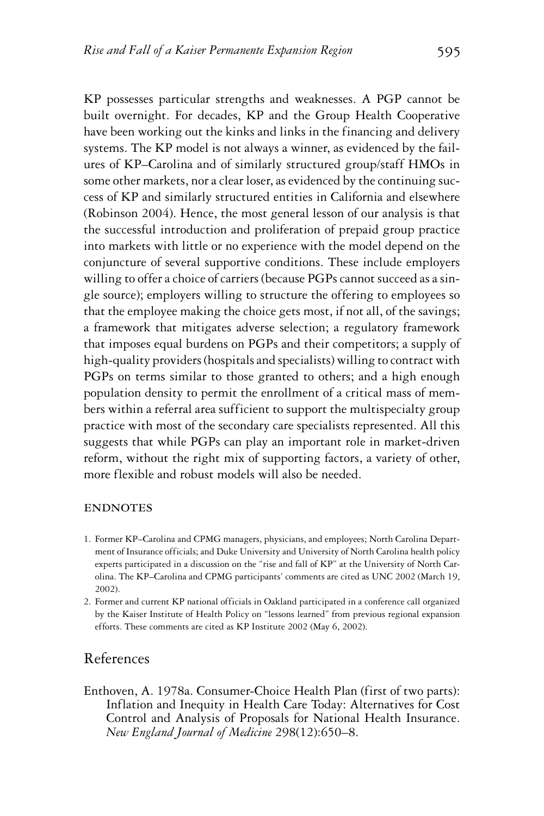KP possesses particular strengths and weaknesses. A PGP cannot be built overnight. For decades, KP and the Group Health Cooperative have been working out the kinks and links in the financing and delivery systems. The KP model is not always a winner, as evidenced by the failures of KP–Carolina and of similarly structured group/staff HMOs in some other markets, nor a clear loser, as evidenced by the continuing success of KP and similarly structured entities in California and elsewhere (Robinson 2004). Hence, the most general lesson of our analysis is that the successful introduction and proliferation of prepaid group practice into markets with little or no experience with the model depend on the conjuncture of several supportive conditions. These include employers willing to offer a choice of carriers (because PGPs cannot succeed as a single source); employers willing to structure the offering to employees so that the employee making the choice gets most, if not all, of the savings; a framework that mitigates adverse selection; a regulatory framework that imposes equal burdens on PGPs and their competitors; a supply of high-quality providers (hospitals and specialists) willing to contract with PGPs on terms similar to those granted to others; and a high enough population density to permit the enrollment of a critical mass of members within a referral area sufficient to support the multispecialty group practice with most of the secondary care specialists represented. All this suggests that while PGPs can play an important role in market-driven reform, without the right mix of supporting factors, a variety of other, more flexible and robust models will also be needed.

#### **ENDNOTES**

- 1. Former KP–Carolina and CPMG managers, physicians, and employees; North Carolina Department of Insurance officials; and Duke University and University of North Carolina health policy experts participated in a discussion on the "rise and fall of KP" at the University of North Carolina. The KP–Carolina and CPMG participants' comments are cited as UNC 2002 (March 19, 2002).
- 2. Former and current KP national officials in Oakland participated in a conference call organized by the Kaiser Institute of Health Policy on "lessons learned" from previous regional expansion efforts. These comments are cited as KP Institute 2002 (May 6, 2002).

#### References

Enthoven, A. 1978a. Consumer-Choice Health Plan (first of two parts): Inflation and Inequity in Health Care Today: Alternatives for Cost Control and Analysis of Proposals for National Health Insurance. *New England Journal of Medicine* 298(12):650–8.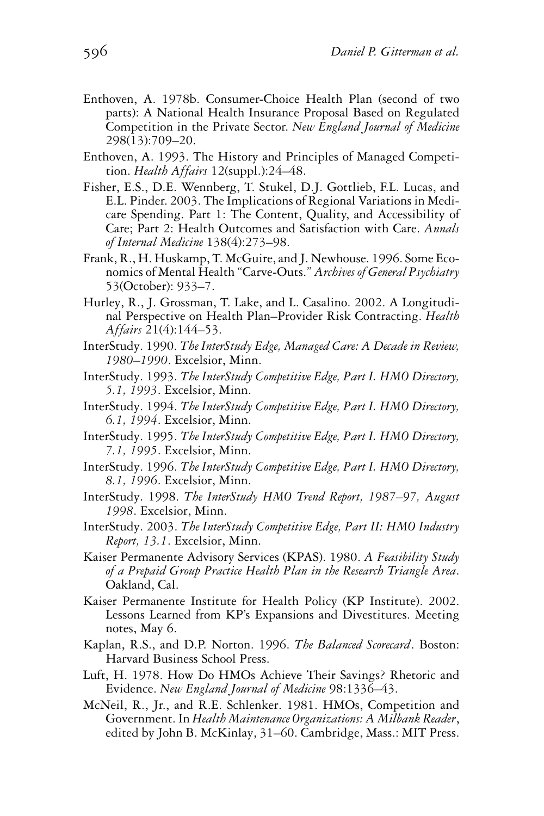- Enthoven, A. 1978b. Consumer-Choice Health Plan (second of two parts): A National Health Insurance Proposal Based on Regulated Competition in the Private Sector. *New England Journal of Medicine* 298(13):709–20.
- Enthoven, A. 1993. The History and Principles of Managed Competition. *Health Affairs* 12(suppl.):24–48.
- Fisher, E.S., D.E. Wennberg, T. Stukel, D.J. Gottlieb, F.L. Lucas, and E.L. Pinder. 2003. The Implications of Regional Variations in Medicare Spending. Part 1: The Content, Quality, and Accessibility of Care; Part 2: Health Outcomes and Satisfaction with Care. *Annals of Internal Medicine* 138(4):273–98.
- Frank, R., H. Huskamp, T. McGuire, and J. Newhouse. 1996. Some Economics of Mental Health "Carve-Outs." *Archives of General Psychiatry* 53(October): 933–7.
- Hurley, R., J. Grossman, T. Lake, and L. Casalino. 2002. A Longitudinal Perspective on Health Plan–Provider Risk Contracting. *Health Affairs* 21(4):144–53.
- InterStudy. 1990. *The InterStudy Edge, Managed Care: A Decade in Review, 1980–1990*. Excelsior, Minn.
- InterStudy. 1993. *The InterStudy Competitive Edge, Part I. HMO Directory, 5.1, 1993*. Excelsior, Minn.
- InterStudy. 1994. *The InterStudy Competitive Edge, Part I. HMO Directory, 6.1, 1994*. Excelsior, Minn.
- InterStudy. 1995. *The InterStudy Competitive Edge, Part I. HMO Directory, 7.1, 1995*. Excelsior, Minn.
- InterStudy. 1996. *The InterStudy Competitive Edge, Part I. HMO Directory, 8.1, 1996*. Excelsior, Minn.
- InterStudy. 1998. *The InterStudy HMO Trend Report, 1987–97, August 1998*. Excelsior, Minn.
- InterStudy. 2003. *The InterStudy Competitive Edge, Part II: HMO Industry Report, 13.1*. Excelsior, Minn.
- Kaiser Permanente Advisory Services (KPAS). 1980. *A Feasibility Study of a Prepaid Group Practice Health Plan in the Research Triangle Area*. Oakland, Cal.
- Kaiser Permanente Institute for Health Policy (KP Institute). 2002. Lessons Learned from KP's Expansions and Divestitures. Meeting notes, May 6.
- Kaplan, R.S., and D.P. Norton. 1996. *The Balanced Scorecard*. Boston: Harvard Business School Press.
- Luft, H. 1978. How Do HMOs Achieve Their Savings? Rhetoric and Evidence. *New England Journal of Medicine* 98:1336–43.
- McNeil, R., Jr., and R.E. Schlenker. 1981. HMOs, Competition and Government. In *Health Maintenance Organizations: A Milbank Reader*, edited by John B. McKinlay, 31–60. Cambridge, Mass.: MIT Press.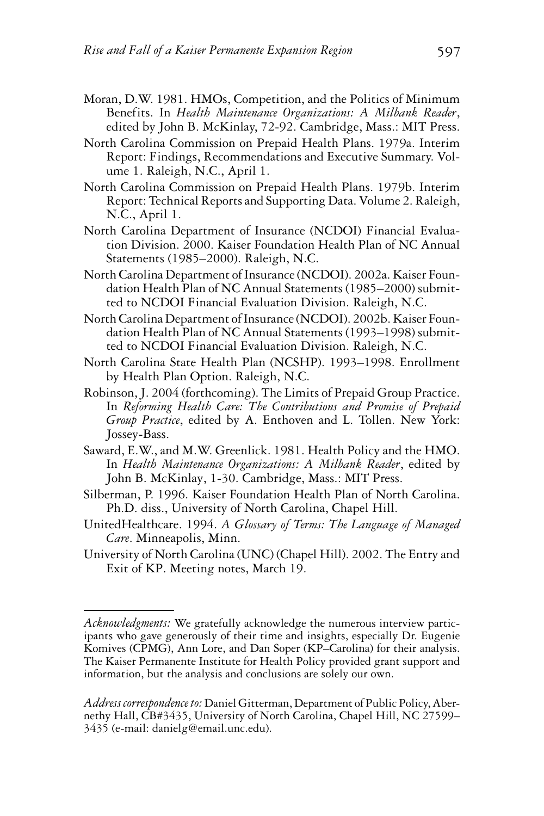- Moran, D.W. 1981. HMOs, Competition, and the Politics of Minimum Benefits. In *Health Maintenance Organizations: A Milbank Reader*, edited by John B. McKinlay, 72-92. Cambridge, Mass.: MIT Press.
- North Carolina Commission on Prepaid Health Plans. 1979a. Interim Report: Findings, Recommendations and Executive Summary. Volume 1. Raleigh, N.C., April 1.
- North Carolina Commission on Prepaid Health Plans. 1979b. Interim Report: Technical Reports and Supporting Data. Volume 2. Raleigh, N.C., April 1.
- North Carolina Department of Insurance (NCDOI) Financial Evaluation Division. 2000. Kaiser Foundation Health Plan of NC Annual Statements (1985–2000). Raleigh, N.C.
- North Carolina Department of Insurance (NCDOI). 2002a. Kaiser Foundation Health Plan of NC Annual Statements (1985–2000) submitted to NCDOI Financial Evaluation Division. Raleigh, N.C.
- North Carolina Department of Insurance (NCDOI). 2002b. Kaiser Foundation Health Plan of NC Annual Statements (1993–1998) submitted to NCDOI Financial Evaluation Division. Raleigh, N.C.
- North Carolina State Health Plan (NCSHP). 1993–1998. Enrollment by Health Plan Option. Raleigh, N.C.
- Robinson, J. 2004 (forthcoming). The Limits of Prepaid Group Practice. In *Reforming Health Care: The Contributions and Promise of Prepaid Group Practice*, edited by A. Enthoven and L. Tollen. New York: Jossey-Bass.
- Saward, E.W., and M.W. Greenlick. 1981. Health Policy and the HMO. In *Health Maintenance Organizations: A Milbank Reader*, edited by John B. McKinlay, 1-30. Cambridge, Mass.: MIT Press.
- Silberman, P. 1996. Kaiser Foundation Health Plan of North Carolina. Ph.D. diss., University of North Carolina, Chapel Hill.
- UnitedHealthcare. 1994. *A Glossary of Terms: The Language of Managed Care*. Minneapolis, Minn.
- University of North Carolina (UNC) (Chapel Hill). 2002. The Entry and Exit of KP. Meeting notes, March 19.

*Acknowledgments:* We gratefully acknowledge the numerous interview participants who gave generously of their time and insights, especially Dr. Eugenie Komives (CPMG), Ann Lore, and Dan Soper (KP–Carolina) for their analysis. The Kaiser Permanente Institute for Health Policy provided grant support and information, but the analysis and conclusions are solely our own.

*Address correspondence to:* Daniel Gitterman, Department of Public Policy, Abernethy Hall, CB#3435, University of North Carolina, Chapel Hill, NC 27599– 3435 (e-mail: danielg@email.unc.edu).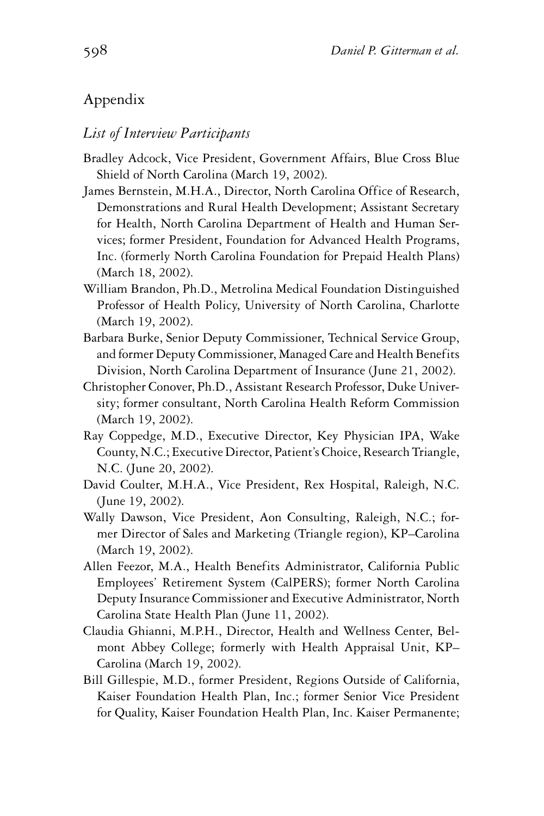## Appendix

#### *List of Interview Participants*

- Bradley Adcock, Vice President, Government Affairs, Blue Cross Blue Shield of North Carolina (March 19, 2002).
- James Bernstein, M.H.A., Director, North Carolina Office of Research, Demonstrations and Rural Health Development; Assistant Secretary for Health, North Carolina Department of Health and Human Services; former President, Foundation for Advanced Health Programs, Inc. (formerly North Carolina Foundation for Prepaid Health Plans) (March 18, 2002).
- William Brandon, Ph.D., Metrolina Medical Foundation Distinguished Professor of Health Policy, University of North Carolina, Charlotte (March 19, 2002).
- Barbara Burke, Senior Deputy Commissioner, Technical Service Group, and former Deputy Commissioner, Managed Care and Health Benefits Division, North Carolina Department of Insurance (June 21, 2002).
- Christopher Conover, Ph.D., Assistant Research Professor, Duke University; former consultant, North Carolina Health Reform Commission (March 19, 2002).
- Ray Coppedge, M.D., Executive Director, Key Physician IPA, Wake County, N.C.; Executive Director, Patient's Choice, Research Triangle, N.C. (June 20, 2002).
- David Coulter, M.H.A., Vice President, Rex Hospital, Raleigh, N.C. (June 19, 2002).
- Wally Dawson, Vice President, Aon Consulting, Raleigh, N.C.; former Director of Sales and Marketing (Triangle region), KP–Carolina (March 19, 2002).
- Allen Feezor, M.A., Health Benefits Administrator, California Public Employees' Retirement System (CalPERS); former North Carolina Deputy Insurance Commissioner and Executive Administrator, North Carolina State Health Plan (June 11, 2002).
- Claudia Ghianni, M.P.H., Director, Health and Wellness Center, Belmont Abbey College; formerly with Health Appraisal Unit, KP– Carolina (March 19, 2002).
- Bill Gillespie, M.D., former President, Regions Outside of California, Kaiser Foundation Health Plan, Inc.; former Senior Vice President for Quality, Kaiser Foundation Health Plan, Inc. Kaiser Permanente;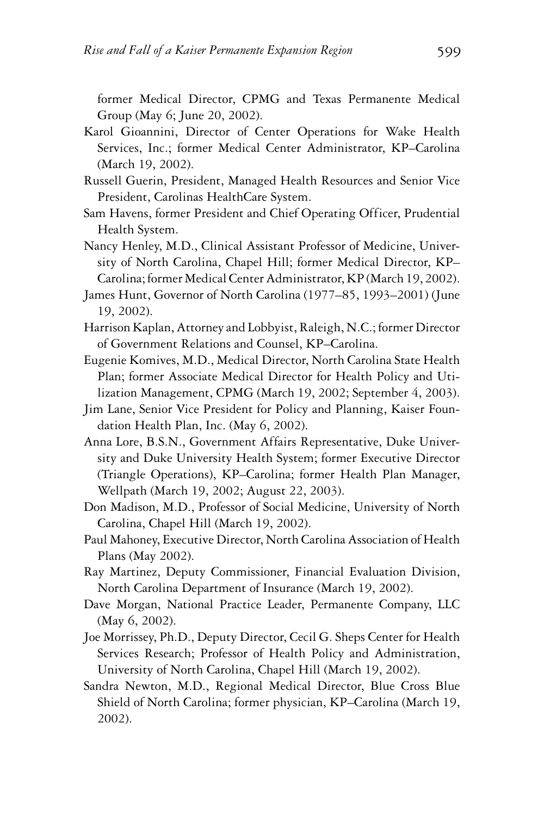former Medical Director, CPMG and Texas Permanente Medical Group (May 6; June 20, 2002).

- Karol Gioannini, Director of Center Operations for Wake Health Services, Inc.; former Medical Center Administrator, KP–Carolina (March 19, 2002).
- Russell Guerin, President, Managed Health Resources and Senior Vice President, Carolinas HealthCare System.
- Sam Havens, former President and Chief Operating Officer, Prudential Health System.
- Nancy Henley, M.D., Clinical Assistant Professor of Medicine, University of North Carolina, Chapel Hill; former Medical Director, KP– Carolina; former Medical Center Administrator, KP (March 19, 2002).
- James Hunt, Governor of North Carolina (1977–85, 1993–2001) (June 19, 2002).
- Harrison Kaplan, Attorney and Lobbyist, Raleigh, N.C.; former Director of Government Relations and Counsel, KP–Carolina.
- Eugenie Komives, M.D., Medical Director, North Carolina State Health Plan; former Associate Medical Director for Health Policy and Utilization Management, CPMG (March 19, 2002; September 4, 2003).
- Jim Lane, Senior Vice President for Policy and Planning, Kaiser Foundation Health Plan, Inc. (May 6, 2002).
- Anna Lore, B.S.N., Government Affairs Representative, Duke University and Duke University Health System; former Executive Director (Triangle Operations), KP–Carolina; former Health Plan Manager, Wellpath (March 19, 2002; August 22, 2003).
- Don Madison, M.D., Professor of Social Medicine, University of North Carolina, Chapel Hill (March 19, 2002).
- Paul Mahoney, Executive Director, North Carolina Association of Health Plans (May 2002).
- Ray Martinez, Deputy Commissioner, Financial Evaluation Division, North Carolina Department of Insurance (March 19, 2002).
- Dave Morgan, National Practice Leader, Permanente Company, LLC (May 6, 2002).
- Joe Morrissey, Ph.D., Deputy Director, Cecil G. Sheps Center for Health Services Research; Professor of Health Policy and Administration, University of North Carolina, Chapel Hill (March 19, 2002).
- Sandra Newton, M.D., Regional Medical Director, Blue Cross Blue Shield of North Carolina; former physician, KP–Carolina (March 19, 2002).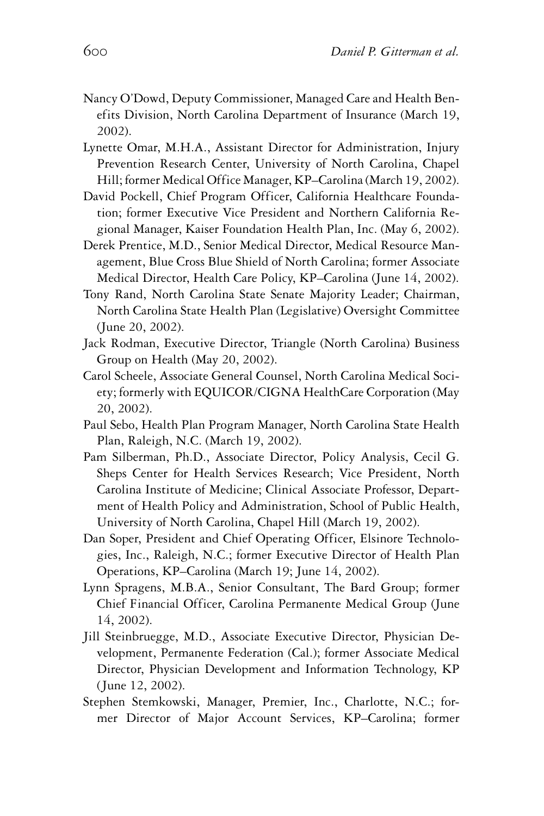- Nancy O'Dowd, Deputy Commissioner, Managed Care and Health Benefits Division, North Carolina Department of Insurance (March 19, 2002).
- Lynette Omar, M.H.A., Assistant Director for Administration, Injury Prevention Research Center, University of North Carolina, Chapel Hill; former Medical Office Manager, KP–Carolina (March 19, 2002).
- David Pockell, Chief Program Officer, California Healthcare Foundation; former Executive Vice President and Northern California Regional Manager, Kaiser Foundation Health Plan, Inc. (May 6, 2002).
- Derek Prentice, M.D., Senior Medical Director, Medical Resource Management, Blue Cross Blue Shield of North Carolina; former Associate Medical Director, Health Care Policy, KP–Carolina (June 14, 2002).
- Tony Rand, North Carolina State Senate Majority Leader; Chairman, North Carolina State Health Plan (Legislative) Oversight Committee (June 20, 2002).
- Jack Rodman, Executive Director, Triangle (North Carolina) Business Group on Health (May 20, 2002).
- Carol Scheele, Associate General Counsel, North Carolina Medical Society; formerly with EQUICOR/CIGNA HealthCare Corporation (May 20, 2002).
- Paul Sebo, Health Plan Program Manager, North Carolina State Health Plan, Raleigh, N.C. (March 19, 2002).
- Pam Silberman, Ph.D., Associate Director, Policy Analysis, Cecil G. Sheps Center for Health Services Research; Vice President, North Carolina Institute of Medicine; Clinical Associate Professor, Department of Health Policy and Administration, School of Public Health, University of North Carolina, Chapel Hill (March 19, 2002).
- Dan Soper, President and Chief Operating Officer, Elsinore Technologies, Inc., Raleigh, N.C.; former Executive Director of Health Plan Operations, KP–Carolina (March 19; June 14, 2002).
- Lynn Spragens, M.B.A., Senior Consultant, The Bard Group; former Chief Financial Officer, Carolina Permanente Medical Group (June 14, 2002).
- Jill Steinbruegge, M.D., Associate Executive Director, Physician Development, Permanente Federation (Cal.); former Associate Medical Director, Physician Development and Information Technology, KP (June 12, 2002).
- Stephen Stemkowski, Manager, Premier, Inc., Charlotte, N.C.; former Director of Major Account Services, KP–Carolina; former